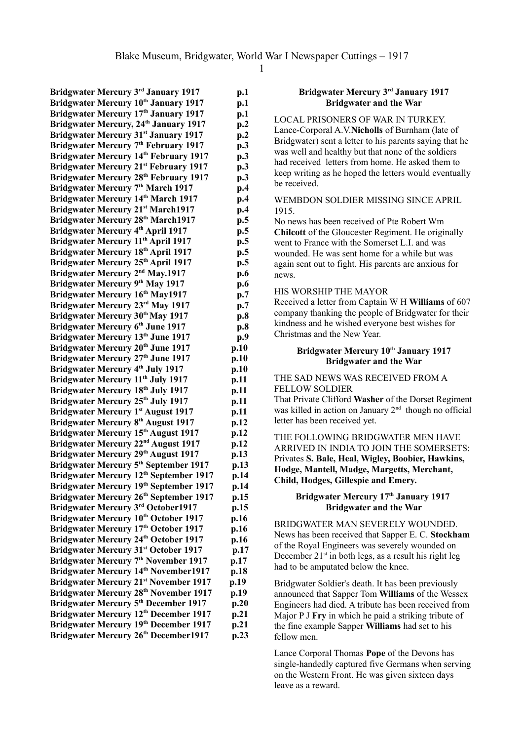**Bridgwater Mercury 3rd January 1917 p.1 Bridgwater Mercury 10th January 1917 p.1 Bridgwater Mercury 17th January 1917 p.1 Bridgwater Mercury, 24th January 1917 p.2 Bridgwater Mercury 31st January 1917 p.2 Bridgwater Mercury 7 th February 1917 p.3 Bridgwater Mercury 14th February 1917 p.3 Bridgwater Mercury 21st February 1917 p.3 Bridgwater Mercury 28th February 1917 p.3 Bridgwater Mercury 7 th March 1917 p.4 Bridgwater Mercury 14th March 1917 p.4 Bridgwater Mercury 21st March1917 p.4 Bridgwater Mercury 28th March1917 p.5 Bridgwater Mercury 4 th April 1917 p.5 Bridgwater Mercury 11th April 1917 p.5 Bridgwater Mercury 18th April 1917 p.5 Bridgwater Mercury 25th April 1917 p.5 Bridgwater Mercury 2<sup>nd</sup> May.1917 p.6 Bridgwater Mercury 9 th May 1917 p.6 Bridgwater Mercury 16th May1917 p.7 Bridgwater Mercury 23<sup>rd</sup> May 1917 p.7 Bridgwater Mercury 30 th May 1917 p.8 Bridgwater Mercury 6 th June 1917 p.8 Bridgwater Mercury 13<sup>th</sup> June 1917 p.9 Bridgwater Mercury 20th June 1917 p.10 Bridgwater Mercury 27th June 1917 p.10 Bridgwater Mercury 4 th July 1917 p.10 Bridgwater Mercury 11th July 1917 p.11 Bridgwater Mercury 18th July 1917 p.11 Bridgwater Mercury 25th July 1917 p.11 Bridgwater Mercury 1 st August 1917 p.11 Bridgwater Mercury 8 th August 1917 p.12 Bridgwater Mercury 15th August 1917 p.12 Bridgwater Mercury 22nd August 1917 p.12 Bridgwater Mercury 29th August 1917 p.13 Bridgwater Mercury 5 th September 1917 p.13 Bridgwater Mercury 12th September 1917 p.14 Bridgwater Mercury 19th September 1917 p.14 Bridgwater Mercury 26th September 1917 p.15 Bridgwater Mercury 3rd October1917 p.15 Bridgwater Mercury 10th October 1917 p.16 Bridgwater Mercury 17th October 1917 p.16 Bridgwater Mercury 24th October 1917 p.16 Bridgwater Mercury 31st October 1917 p.17 Bridgwater Mercury 7 th November 1917 p.17 Bridgwater Mercury 14th November1917 p.18 Bridgwater Mercury 21st November 1917 p.19 Bridgwater Mercury 28th November 1917 p.19 Bridgwater Mercury 5 th December 1917 p.20 Bridgwater Mercury 12th December 1917 p.21 Bridgwater Mercury 19th December 1917 p.21 Bridgwater Mercury 26th December1917 p.23**

### **Bridgwater Mercury 3rd January 1917 Bridgwater and the War**

LOCAL PRISONERS OF WAR IN TURKEY. Lance-Corporal A.V.**Nicholls** of Burnham (late of Bridgwater) sent a letter to his parents saying that he was well and healthy but that none of the soldiers had received letters from home. He asked them to keep writing as he hoped the letters would eventually be received.

#### WEMBDON SOLDIER MISSING SINCE APRIL 1915.

No news has been received of Pte Robert Wm **Chilcott** of the Gloucester Regiment. He originally went to France with the Somerset L.I. and was wounded. He was sent home for a while but was again sent out to fight. His parents are anxious for news.

### HIS WORSHIP THE MAYOR

Received a letter from Captain W H **Williams** of 607 company thanking the people of Bridgwater for their kindness and he wished everyone best wishes for Christmas and the New Year.

### **Bridgwater Mercury 10th January 1917 Bridgwater and the War**

### THE SAD NEWS WAS RECEIVED FROM A FELLOW SOLDIER

That Private Clifford **Washer** of the Dorset Regiment was killed in action on January  $2<sup>nd</sup>$  though no official letter has been received yet.

### THE FOLLOWING BRIDGWATER MEN HAVE ARRIVED IN INDIA TO JOIN THE SOMERSETS: Privates **S. Bale, Heal, Wigley, Boobier, Hawkins, Hodge, Mantell, Madge, Margetts, Merchant, Child, Hodges, Gillespie and Emery.**

### **Bridgwater Mercury 17th January 1917 Bridgwater and the War**

BRIDGWATER MAN SEVERELY WOUNDED. News has been received that Sapper E. C. **Stockham** of the Royal Engineers was severely wounded on December  $21<sup>st</sup>$  in both legs, as a result his right leg had to be amputated below the knee.

Bridgwater Soldier's death. It has been previously announced that Sapper Tom **Williams** of the Wessex Engineers had died. A tribute has been received from Major P J **Fry** in which he paid a striking tribute of the fine example Sapper **Williams** had set to his fellow men.

Lance Corporal Thomas **Pope** of the Devons has single-handedly captured five Germans when serving on the Western Front. He was given sixteen days leave as a reward.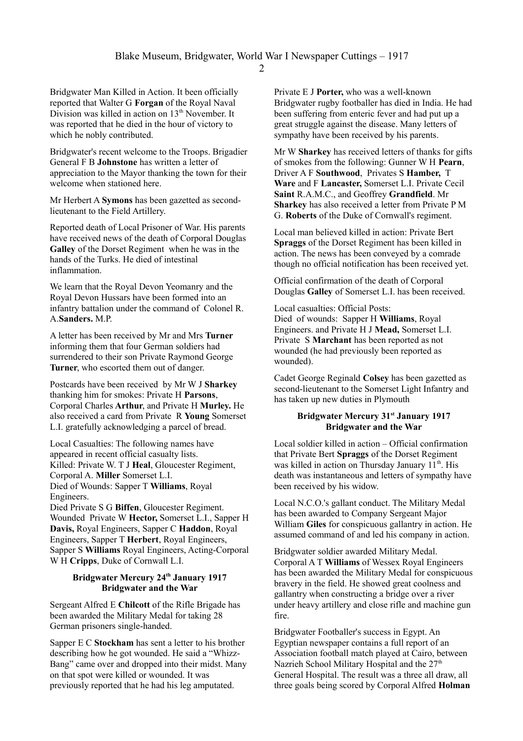Bridgwater Man Killed in Action. It been officially reported that Walter G **Forgan** of the Royal Naval Division was killed in action on 13<sup>th</sup> November. It was reported that he died in the hour of victory to which he nobly contributed.

Bridgwater's recent welcome to the Troops. Brigadier General F B **Johnstone** has written a letter of appreciation to the Mayor thanking the town for their welcome when stationed here.

Mr Herbert A **Symons** has been gazetted as secondlieutenant to the Field Artillery.

Reported death of Local Prisoner of War. His parents have received news of the death of Corporal Douglas **Galley** of the Dorset Regiment when he was in the hands of the Turks. He died of intestinal inflammation.

We learn that the Royal Devon Yeomanry and the Royal Devon Hussars have been formed into an infantry battalion under the command of Colonel R. A.**Sanders.** M.P.

A letter has been received by Mr and Mrs **Turner**  informing them that four German soldiers had surrendered to their son Private Raymond George **Turner**, who escorted them out of danger.

Postcards have been received by Mr W J **Sharkey** thanking him for smokes: Private H **Parsons**, Corporal Charles **Arthur**, and Private H **Murley.** He also received a card from Private R **Young** Somerset L.I. gratefully acknowledging a parcel of bread.

Local Casualties: The following names have appeared in recent official casualty lists. Killed: Private W. T J **Heal**, Gloucester Regiment, Corporal A. **Miller** Somerset L.I. Died of Wounds: Sapper T **Williams**, Royal Engineers.

Died Private S G **Biffen**, Gloucester Regiment. Wounded Private W **Hector,** Somerset L.I., Sapper H **Davis,** Royal Engineers, Sapper C **Haddon**, Royal Engineers, Sapper T **Herbert**, Royal Engineers, Sapper S **Williams** Royal Engineers, Acting-Corporal W H **Cripps**, Duke of Cornwall L.I.

# **Bridgwater Mercury 24th January 1917 Bridgwater and the War**

Sergeant Alfred E **Chilcott** of the Rifle Brigade has been awarded the Military Medal for taking 28 German prisoners single-handed.

Sapper E C **Stockham** has sent a letter to his brother describing how he got wounded. He said a "Whizz-Bang" came over and dropped into their midst. Many on that spot were killed or wounded. It was previously reported that he had his leg amputated.

Private E J **Porter,** who was a well-known Bridgwater rugby footballer has died in India. He had been suffering from enteric fever and had put up a great struggle against the disease. Many letters of sympathy have been received by his parents.

Mr W **Sharkey** has received letters of thanks for gifts of smokes from the following: Gunner W H **Pearn**, Driver A F **Southwood**, Privates S **Hamber,** T **Ware** and F **Lancaster,** Somerset L.I. Private Cecil **Saint** R.A.M.C., and Geoffrey **Grandfield**. Mr **Sharkey** has also received a letter from Private P M G. **Roberts** of the Duke of Cornwall's regiment.

Local man believed killed in action: Private Bert **Spraggs** of the Dorset Regiment has been killed in action. The news has been conveyed by a comrade though no official notification has been received yet.

Official confirmation of the death of Corporal Douglas **Galley** of Somerset L.I. has been received.

## Local casualties: Official Posts:

Died of wounds: Sapper H **Williams**, Royal Engineers. and Private H J **Mead,** Somerset L.I. Private S **Marchant** has been reported as not wounded (he had previously been reported as wounded).

Cadet George Reginald **Colsey** has been gazetted as second-lieutenant to the Somerset Light Infantry and has taken up new duties in Plymouth

### **Bridgwater Mercury 31st January 1917 Bridgwater and the War**

Local soldier killed in action – Official confirmation that Private Bert **Spraggs** of the Dorset Regiment was killed in action on Thursday January 11<sup>th</sup>. His death was instantaneous and letters of sympathy have been received by his widow.

Local N.C.O.'s gallant conduct. The Military Medal has been awarded to Company Sergeant Major William **Giles** for conspicuous gallantry in action. He assumed command of and led his company in action.

Bridgwater soldier awarded Military Medal. Corporal A T **Williams** of Wessex Royal Engineers has been awarded the Military Medal for conspicuous bravery in the field. He showed great coolness and gallantry when constructing a bridge over a river under heavy artillery and close rifle and machine gun fire.

Bridgwater Footballer's success in Egypt. An Egyptian newspaper contains a full report of an Association football match played at Cairo, between Nazrieh School Military Hospital and the 27<sup>th</sup> General Hospital. The result was a three all draw, all three goals being scored by Corporal Alfred **Holman**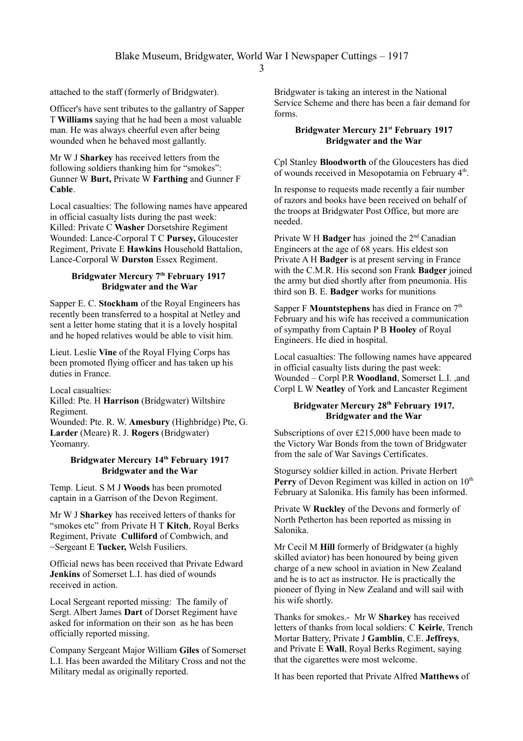attached to the staff (formerly of Bridgwater).

Officer's have sent tributes to the gallantry of Sapper T **Williams** saying that he had been a most valuable man. He was always cheerful even after being wounded when he behaved most gallantly.

Mr W J **Sharkey** has received letters from the following soldiers thanking him for "smokes": Gunner W **Burt,** Private W **Farthing** and Gunner F **Cable**.

Local casualties: The following names have appeared in official casualty lists during the past week: Killed: Private C **Washer** Dorsetshire Regiment Wounded: Lance-Corporal T C **Pursey,** Gloucester Regiment, Private E **Hawkins** Household Battalion, Lance-Corporal W **Durston** Essex Regiment.

### **Bridgwater Mercury 7th February 1917 Bridgwater and the War**

Sapper E. C. **Stockham** of the Royal Engineers has recently been transferred to a hospital at Netley and sent a letter home stating that it is a lovely hospital and he hoped relatives would be able to visit him.

Lieut. Leslie **Vine** of the Royal Flying Corps has been promoted flying officer and has taken up his duties in France.

Local casualties:

Killed: Pte. H **Harrison** (Bridgwater) Wiltshire Regiment.

Wounded: Pte. R. W. **Amesbury** (Highbridge) Pte, G. **Larder** (Meare) R. J. **Rogers** (Bridgwater) Yeomanry.

### **Bridgwater Mercury 14th February 1917 Bridgwater and the War**

Temp. Lieut. S M J **Woods** has been promoted captain in a Garrison of the Devon Regiment.

Mr W J **Sharkey** has received letters of thanks for "smokes etc" from Private H T **Kitch**, Royal Berks Regiment, Private **Culliford** of Combwich, and ~Sergeant E **Tucker,** Welsh Fusiliers.

Official news has been received that Private Edward **Jenkins** of Somerset L.I. has died of wounds received in action.

Local Sergeant reported missing: The family of Sergt. Albert James **Dart** of Dorset Regiment have asked for information on their son as he has been officially reported missing.

Company Sergeant Major William **Giles** of Somerset L.I. Has been awarded the Military Cross and not the Military medal as originally reported.

Bridgwater is taking an interest in the National Service Scheme and there has been a fair demand for forms.

## **Bridgwater Mercury 21st February 1917 Bridgwater and the War**

Cpl Stanley **Bloodworth** of the Gloucesters has died of wounds received in Mesopotamia on February 4<sup>th</sup>.

In response to requests made recently a fair number of razors and books have been received on behalf of the troops at Bridgwater Post Office, but more are needed.

Private W H **Badger** has joined the 2nd Canadian Engineers at the age of 68 years. His eldest son Private A H **Badger** is at present serving in France with the C.M.R. His second son Frank **Badger** joined the army but died shortly after from pneumonia. His third son B. E. **Badger** works for munitions

Sapper F **Mountstephens** has died in France on 7<sup>th</sup> February and his wife has received a communication of sympathy from Captain P B **Hooley** of Royal Engineers. He died in hospital.

Local casualties: The following names have appeared in official casualty lists during the past week: Wounded – Corpl P.R **Woodland**, Somerset L.I. ,and Corpl L W **Neatley** of York and Lancaster Regiment

## **Bridgwater Mercury 28th February 1917. Bridgwater and the War**

Subscriptions of over £215,000 have been made to the Victory War Bonds from the town of Bridgwater from the sale of War Savings Certificates.

Stogursey soldier killed in action. Private Herbert **Perry** of Devon Regiment was killed in action on 10<sup>th</sup> February at Salonika. His family has been informed.

Private W **Ruckley** of the Devons and formerly of North Petherton has been reported as missing in Salonika.

Mr Cecil M **Hill** formerly of Bridgwater (a highly skilled aviator) has been honoured by being given charge of a new school in aviation in New Zealand and he is to act as instructor. He is practically the pioneer of flying in New Zealand and will sail with his wife shortly.

Thanks for smokes.- Mr W **Sharkey** has received letters of thanks from local soldiers: C **Keirle**, Trench Mortar Battery, Private J **Gamblin**, C.E. **Jeffreys**, and Private E **Wall**, Royal Berks Regiment, saying that the cigarettes were most welcome.

It has been reported that Private Alfred **Matthews** of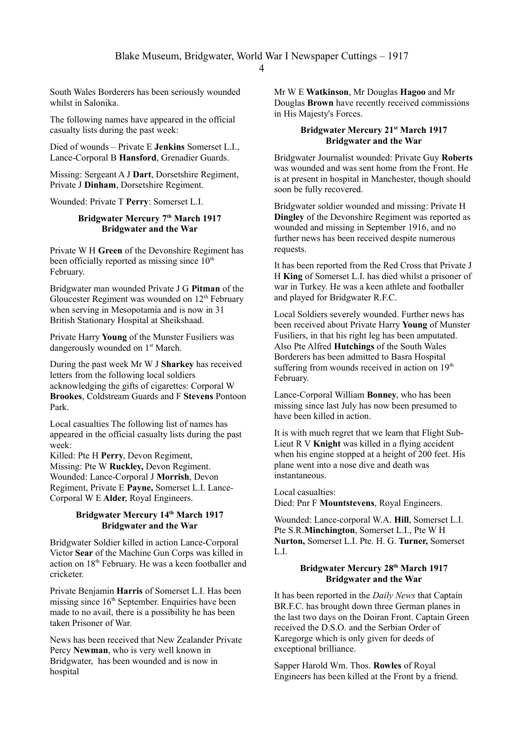South Wales Borderers has been seriously wounded whilst in Salonika.

The following names have appeared in the official casualty lists during the past week:

Died of wounds – Private E **Jenkins** Somerset L.I., Lance-Corporal B **Hansford**, Grenadier Guards.

Missing: Sergeant A J **Dart**, Dorsetshire Regiment, Private J **Dinham**, Dorsetshire Regiment.

Wounded: Private T **Perry**: Somerset L.I.

## **Bridgwater Mercury 7th March 1917 Bridgwater and the War**

Private W H **Green** of the Devonshire Regiment has been officially reported as missing since  $10<sup>th</sup>$ February.

Bridgwater man wounded Private J G **Pitman** of the Gloucester Regiment was wounded on  $12<sup>th</sup>$  February when serving in Mesopotamia and is now in 31 British Stationary Hospital at Sheikshaad.

Private Harry **Young** of the Munster Fusiliers was dangerously wounded on 1<sup>st</sup> March.

During the past week Mr W J **Sharkey** has received letters from the following local soldiers acknowledging the gifts of cigarettes: Corporal W **Brookes**, Coldstream Guards and F **Stevens** Pontoon Park.

Local casualties The following list of names has appeared in the official casualty lists during the past week:

Killed: Pte H **Perry**, Devon Regiment, Missing: Pte W **Ruckley,** Devon Regiment. Wounded: Lance-Corporal J **Morrish**, Devon Regiment, Private E **Payne,** Somerset L.I. Lance-Corporal W E **Alder**, Royal Engineers.

## **Bridgwater Mercury 14th March 1917 Bridgwater and the War**

Bridgwater Soldier killed in action Lance-Corporal Victor **Sear** of the Machine Gun Corps was killed in action on 18<sup>th</sup> February. He was a keen footballer and cricketer.

Private Benjamin **Harris** of Somerset L.I. Has been missing since  $16<sup>th</sup>$  September. Enquiries have been made to no avail, there is a possibility he has been taken Prisoner of War.

News has been received that New Zealander Private Percy **Newman**, who is very well known in Bridgwater, has been wounded and is now in hospital

Mr W E **Watkinson**, Mr Douglas **Hagoo** and Mr Douglas **Brown** have recently received commissions in His Majesty's Forces.

### **Bridgwater Mercury 21st March 1917 Bridgwater and the War**

Bridgwater Journalist wounded: Private Guy **Roberts** was wounded and was sent home from the Front. He is at present in hospital in Manchester, though should soon be fully recovered.

Bridgwater soldier wounded and missing: Private H **Dingley** of the Devonshire Regiment was reported as wounded and missing in September 1916, and no further news has been received despite numerous requests.

It has been reported from the Red Cross that Private J H **King** of Somerset L.I. has died whilst a prisoner of war in Turkey. He was a keen athlete and footballer and played for Bridgwater R.F.C.

Local Soldiers severely wounded. Further news has been received about Private Harry **Young** of Munster Fusiliers, in that his right leg has been amputated. Also Pte Alfred **Hutchings** of the South Wales Borderers has been admitted to Basra Hospital suffering from wounds received in action on 19<sup>th</sup> February.

Lance-Corporal William **Bonney**, who has been missing since last July has now been presumed to have been killed in action.

It is with much regret that we learn that Flight Sub-Lieut R V **Knight** was killed in a flying accident when his engine stopped at a height of 200 feet. His plane went into a nose dive and death was instantaneous.

Local casualties:

Died: Pnr F **Mountstevens**, Royal Engineers.

Wounded: Lance-corporal W.A. **Hill**, Somerset L.I. Pte S.R.**Minchington**, Somerset L.I., Pte W H **Nurton,** Somerset L.I. Pte. H. G. **Turner,** Somerset L.I.

### **Bridgwater Mercury 28th March 1917 Bridgwater and the War**

It has been reported in the *Daily News* that Captain BR.F.C. has brought down three German planes in the last two days on the Doiran Front. Captain Green received the D.S.O. and the Serbian Order of Karegorge which is only given for deeds of exceptional brilliance.

Sapper Harold Wm. Thos. **Rowles** of Royal Engineers has been killed at the Front by a friend.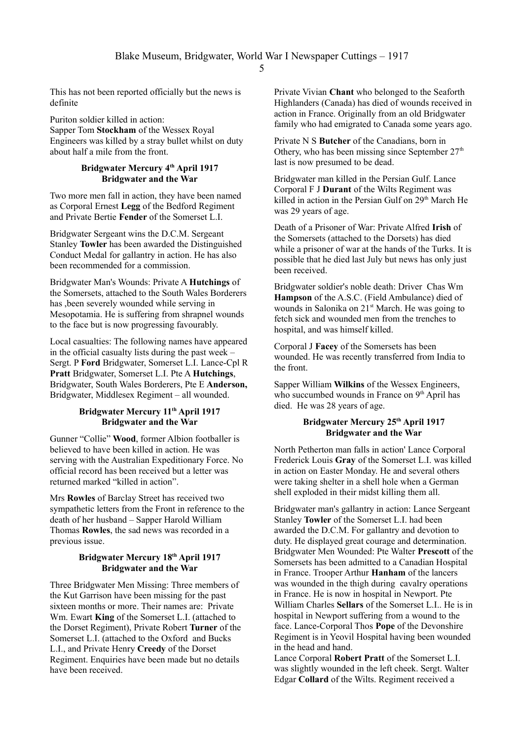This has not been reported officially but the news is definite

Puriton soldier killed in action: Sapper Tom **Stockham** of the Wessex Royal Engineers was killed by a stray bullet whilst on duty about half a mile from the front.

# **Bridgwater Mercury 4th April 1917 Bridgwater and the War**

Two more men fall in action, they have been named as Corporal Ernest **Legg** of the Bedford Regiment and Private Bertie **Fender** of the Somerset L.I.

Bridgwater Sergeant wins the D.C.M. Sergeant Stanley **Towler** has been awarded the Distinguished Conduct Medal for gallantry in action. He has also been recommended for a commission.

Bridgwater Man's Wounds: Private A **Hutchings** of the Somersets, attached to the South Wales Borderers has ,been severely wounded while serving in Mesopotamia. He is suffering from shrapnel wounds to the face but is now progressing favourably.

Local casualties: The following names have appeared in the official casualty lists during the past week – Sergt. P **Ford** Bridgwater, Somerset L.I. Lance-Cpl R **Pratt** Bridgwater, Somerset L.I. Pte A **Hutchings**, Bridgwater, South Wales Borderers, Pte E **Anderson,** Bridgwater, Middlesex Regiment – all wounded.

# **Bridgwater Mercury 11th April 1917 Bridgwater and the War**

Gunner "Collie" **Wood**, former Albion footballer is believed to have been killed in action. He was serving with the Australian Expeditionary Force. No official record has been received but a letter was returned marked "killed in action".

Mrs **Rowles** of Barclay Street has received two sympathetic letters from the Front in reference to the death of her husband – Sapper Harold William Thomas **Rowles**, the sad news was recorded in a previous issue.

## **Bridgwater Mercury 18th April 1917 Bridgwater and the War**

Three Bridgwater Men Missing: Three members of the Kut Garrison have been missing for the past sixteen months or more. Their names are: Private Wm. Ewart **King** of the Somerset L.I. (attached to the Dorset Regiment), Private Robert **Turner** of the Somerset L.I. (attached to the Oxford and Bucks L.I., and Private Henry **Creedy** of the Dorset Regiment. Enquiries have been made but no details have been received.

Private Vivian **Chant** who belonged to the Seaforth Highlanders (Canada) has died of wounds received in action in France. Originally from an old Bridgwater family who had emigrated to Canada some years ago.

Private N S **Butcher** of the Canadians, born in Othery, who has been missing since September  $27<sup>th</sup>$ last is now presumed to be dead.

Bridgwater man killed in the Persian Gulf. Lance Corporal F J **Durant** of the Wilts Regiment was killed in action in the Persian Gulf on  $29<sup>th</sup>$  March He was 29 years of age.

Death of a Prisoner of War: Private Alfred **Irish** of the Somersets (attached to the Dorsets) has died while a prisoner of war at the hands of the Turks. It is possible that he died last July but news has only just been received.

Bridgwater soldier's noble death: Driver Chas Wm **Hampson** of the A.S.C. (Field Ambulance) died of wounds in Salonika on 21<sup>st</sup> March. He was going to fetch sick and wounded men from the trenches to hospital, and was himself killed.

Corporal J **Facey** of the Somersets has been wounded. He was recently transferred from India to the front.

Sapper William **Wilkins** of the Wessex Engineers, who succumbed wounds in France on  $9<sup>th</sup>$  April has died. He was 28 years of age.

## **Bridgwater Mercury 25th April 1917 Bridgwater and the War**

North Petherton man falls in action' Lance Corporal Frederick Louis **Gray** of the Somerset L.I. was killed in action on Easter Monday. He and several others were taking shelter in a shell hole when a German shell exploded in their midst killing them all.

Bridgwater man's gallantry in action: Lance Sergeant Stanley **Towler** of the Somerset L.I. had been awarded the D.C.M. For gallantry and devotion to duty. He displayed great courage and determination. Bridgwater Men Wounded: Pte Walter **Prescott** of the Somersets has been admitted to a Canadian Hospital in France. Trooper Arthur **Hanham** of the lancers was wounded in the thigh during cavalry operations in France. He is now in hospital in Newport. Pte William Charles **Sellars** of the Somerset L.I.. He is in hospital in Newport suffering from a wound to the face. Lance-Corporal Thos **Pope** of the Devonshire Regiment is in Yeovil Hospital having been wounded in the head and hand.

Lance Corporal **Robert Pratt** of the Somerset L.I. was slightly wounded in the left cheek. Sergt. Walter Edgar **Collard** of the Wilts. Regiment received a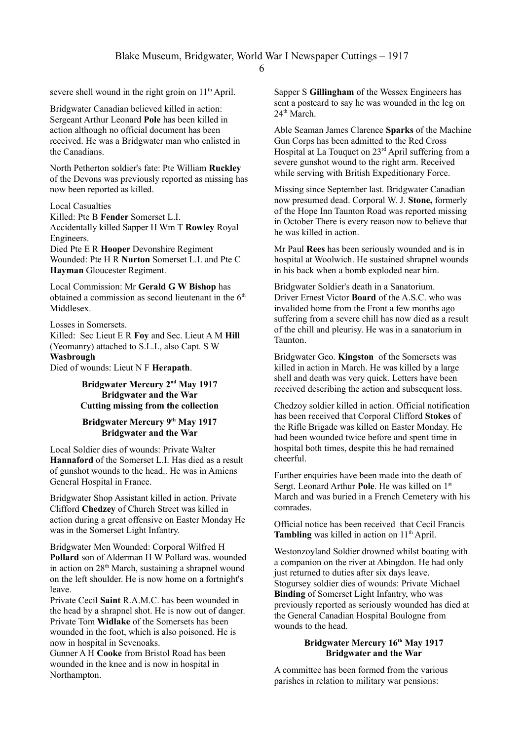severe shell wound in the right groin on  $11<sup>th</sup>$  April.

Bridgwater Canadian believed killed in action: Sergeant Arthur Leonard **Pole** has been killed in action although no official document has been received. He was a Bridgwater man who enlisted in the Canadians.

North Petherton soldier's fate: Pte William **Ruckley** of the Devons was previously reported as missing has now been reported as killed.

Local Casualties

Killed: Pte B **Fender** Somerset L.I.

Accidentally killed Sapper H Wm T **Rowley** Royal Engineers.

Died Pte E R **Hooper** Devonshire Regiment Wounded: Pte H R **Nurton** Somerset L.I. and Pte C **Hayman** Gloucester Regiment.

Local Commission: Mr **Gerald G W Bishop** has obtained a commission as second lieutenant in the  $6<sup>th</sup>$ Middlesex.

Losses in Somersets.

Killed: Sec Lieut E R **Foy** and Sec. Lieut A M **Hill**  (Yeomanry) attached to S.L.I., also Capt. S W **Wasbrough**

Died of wounds: Lieut N F **Herapath**.

**Bridgwater Mercury 2<sup>nd</sup> May 1917 Bridgwater and the War Cutting missing from the collection**

## **Bridgwater Mercury 9th May 1917 Bridgwater and the War**

Local Soldier dies of wounds: Private Walter **Hannaford** of the Somerset L.I. Has died as a result of gunshot wounds to the head.. He was in Amiens General Hospital in France.

Bridgwater Shop Assistant killed in action. Private Clifford **Chedzey** of Church Street was killed in action during a great offensive on Easter Monday He was in the Somerset Light Infantry.

Bridgwater Men Wounded: Corporal Wilfred H **Pollard** son of Alderman H W Pollard was. wounded in action on  $28<sup>th</sup>$  March, sustaining a shrapnel wound on the left shoulder. He is now home on a fortnight's leave.

Private Cecil **Saint** R.A.M.C. has been wounded in the head by a shrapnel shot. He is now out of danger. Private Tom **Widlake** of the Somersets has been wounded in the foot, which is also poisoned. He is now in hospital in Sevenoaks.

Gunner A H **Cooke** from Bristol Road has been wounded in the knee and is now in hospital in Northampton.

Sapper S **Gillingham** of the Wessex Engineers has sent a postcard to say he was wounded in the leg on 24<sup>th</sup> March

Able Seaman James Clarence **Sparks** of the Machine Gun Corps has been admitted to the Red Cross Hospital at La Touquet on  $23<sup>rd</sup>$  April suffering from a severe gunshot wound to the right arm. Received while serving with British Expeditionary Force.

Missing since September last. Bridgwater Canadian now presumed dead. Corporal W. J. **Stone,** formerly of the Hope Inn Taunton Road was reported missing in October There is every reason now to believe that he was killed in action.

Mr Paul **Rees** has been seriously wounded and is in hospital at Woolwich. He sustained shrapnel wounds in his back when a bomb exploded near him.

Bridgwater Soldier's death in a Sanatorium. Driver Ernest Victor **Board** of the A.S.C. who was invalided home from the Front a few months ago suffering from a severe chill has now died as a result of the chill and pleurisy. He was in a sanatorium in Taunton.

Bridgwater Geo. **Kingston** of the Somersets was killed in action in March. He was killed by a large shell and death was very quick. Letters have been received describing the action and subsequent loss.

Chedzoy soldier killed in action. Official notification has been received that Corporal Clifford **Stokes** of the Rifle Brigade was killed on Easter Monday. He had been wounded twice before and spent time in hospital both times, despite this he had remained cheerful.

Further enquiries have been made into the death of Sergt. Leonard Arthur Pole. He was killed on 1<sup>st</sup> March and was buried in a French Cemetery with his comrades.

Official notice has been received that Cecil Francis **Tambling** was killed in action on  $11<sup>th</sup>$  April.

Westonzoyland Soldier drowned whilst boating with a companion on the river at Abingdon. He had only just returned to duties after six days leave. Stogursey soldier dies of wounds: Private Michael **Binding** of Somerset Light Infantry, who was previously reported as seriously wounded has died at the General Canadian Hospital Boulogne from wounds to the head.

### **Bridgwater Mercury 16th May 1917 Bridgwater and the War**

A committee has been formed from the various parishes in relation to military war pensions: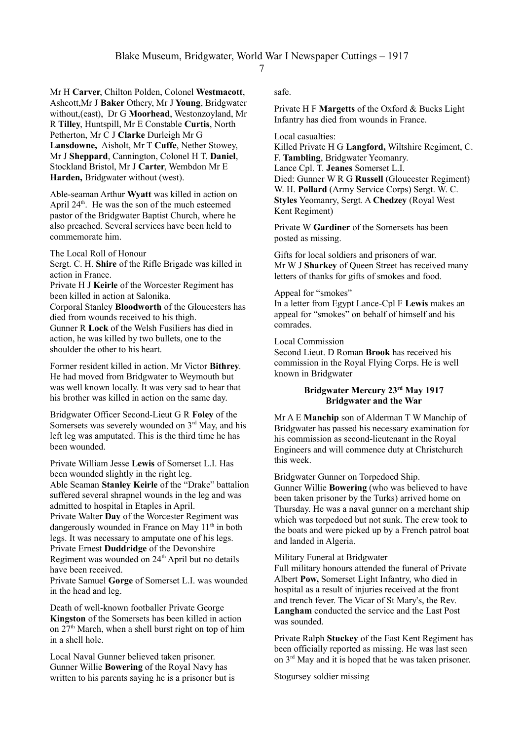Mr H **Carver**, Chilton Polden, Colonel **Westmacott**, Ashcott,Mr J **Baker** Othery, Mr J **Young**, Bridgwater without,(east), Dr G **Moorhead**, Westonzoyland, Mr R **Tilley**, Huntspill, Mr E Constable **Curtis**, North Petherton, Mr C J **Clarke** Durleigh Mr G **Lansdowne,** Aisholt, Mr T **Cuffe**, Nether Stowey, Mr J **Sheppard**, Cannington, Colonel H T. **Daniel**, Stockland Bristol, Mr J **Carter**, Wembdon Mr E **Harden,** Bridgwater without (west).

Able-seaman Arthur **Wyatt** was killed in action on April  $24<sup>th</sup>$ . He was the son of the much esteemed pastor of the Bridgwater Baptist Church, where he also preached. Several services have been held to commemorate him.

The Local Roll of Honour

Sergt. C. H. **Shire** of the Rifle Brigade was killed in action in France.

Private H J **Keirle** of the Worcester Regiment has been killed in action at Salonika.

Corporal Stanley **Bloodworth** of the Gloucesters has died from wounds received to his thigh. Gunner R **Lock** of the Welsh Fusiliers has died in action, he was killed by two bullets, one to the shoulder the other to his heart.

Former resident killed in action. Mr Victor **Bithrey**. He had moved from Bridgwater to Weymouth but was well known locally. It was very sad to hear that his brother was killed in action on the same day.

Bridgwater Officer Second-Lieut G R **Foley** of the Somersets was severely wounded on  $3<sup>rd</sup>$  May, and his left leg was amputated. This is the third time he has been wounded.

Private William Jesse **Lewis** of Somerset L.I. Has been wounded slightly in the right leg. Able Seaman **Stanley Keirle** of the "Drake" battalion suffered several shrapnel wounds in the leg and was admitted to hospital in Etaples in April. Private Walter **Day** of the Worcester Regiment was dangerously wounded in France on May  $11<sup>th</sup>$  in both legs. It was necessary to amputate one of his legs.

Private Ernest **Duddridge** of the Devonshire Regiment was wounded on 24<sup>th</sup> April but no details have been received.

Private Samuel **Gorge** of Somerset L.I. was wounded in the head and leg.

Death of well-known footballer Private George **Kingston** of the Somersets has been killed in action on  $27<sup>th</sup>$  March, when a shell burst right on top of him in a shell hole.

Local Naval Gunner believed taken prisoner. Gunner Willie **Bowering** of the Royal Navy has written to his parents saying he is a prisoner but is safe.

Private H F **Margetts** of the Oxford & Bucks Light Infantry has died from wounds in France.

Local casualties:

Killed Private H G **Langford,** Wiltshire Regiment, C. F. **Tambling**, Bridgwater Yeomanry. Lance Cpl. T. **Jeanes** Somerset L.I. Died: Gunner W R G **Russell** (Gloucester Regiment) W. H. **Pollard** (Army Service Corps) Sergt. W. C. **Styles** Yeomanry, Sergt. A **Chedzey** (Royal West Kent Regiment)

Private W **Gardiner** of the Somersets has been posted as missing.

Gifts for local soldiers and prisoners of war. Mr W J **Sharkey** of Queen Street has received many letters of thanks for gifts of smokes and food.

### Appeal for "smokes"

In a letter from Egypt Lance-Cpl F **Lewis** makes an appeal for "smokes" on behalf of himself and his comrades.

# Local Commission

Second Lieut. D Roman **Brook** has received his commission in the Royal Flying Corps. He is well known in Bridgwater

# **Bridgwater Mercury 23rd May 1917 Bridgwater and the War**

Mr A E **Manchip** son of Alderman T W Manchip of Bridgwater has passed his necessary examination for his commission as second-lieutenant in the Royal Engineers and will commence duty at Christchurch this week.

Bridgwater Gunner on Torpedoed Ship. Gunner Willie **Bowering** (who was believed to have been taken prisoner by the Turks) arrived home on Thursday. He was a naval gunner on a merchant ship which was torpedoed but not sunk. The crew took to the boats and were picked up by a French patrol boat and landed in Algeria.

## Military Funeral at Bridgwater

Full military honours attended the funeral of Private Albert **Pow,** Somerset Light Infantry, who died in hospital as a result of injuries received at the front and trench fever. The Vicar of St Mary's, the Rev. **Langham** conducted the service and the Last Post was sounded.

Private Ralph **Stuckey** of the East Kent Regiment has been officially reported as missing. He was last seen on 3rd May and it is hoped that he was taken prisoner.

Stogursey soldier missing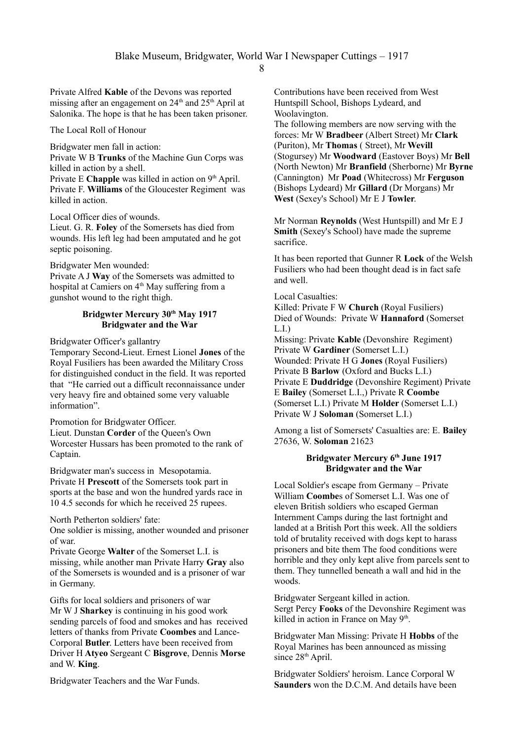Private Alfred **Kable** of the Devons was reported missing after an engagement on  $24<sup>th</sup>$  and  $25<sup>th</sup>$  April at Salonika. The hope is that he has been taken prisoner.

The Local Roll of Honour

Bridgwater men fall in action:

Private W B **Trunks** of the Machine Gun Corps was killed in action by a shell.

Private E **Chapple** was killed in action on  $9<sup>th</sup>$  April. Private F. **Williams** of the Gloucester Regiment was killed in action.

Local Officer dies of wounds.

Lieut. G. R. **Foley** of the Somersets has died from wounds. His left leg had been amputated and he got septic poisoning.

Bridgwater Men wounded:

Private A J **Way** of the Somersets was admitted to hospital at Camiers on 4<sup>th</sup> May suffering from a gunshot wound to the right thigh.

### **Bridgwter Mercury 30th May 1917 Bridgwater and the War**

Bridgwater Officer's gallantry

Temporary Second-Lieut. Ernest Lionel **Jones** of the Royal Fusiliers has been awarded the Military Cross for distinguished conduct in the field. It was reported that "He carried out a difficult reconnaissance under very heavy fire and obtained some very valuable information".

Promotion for Bridgwater Officer. Lieut. Dunstan **Corder** of the Queen's Own Worcester Hussars has been promoted to the rank of Captain.

Bridgwater man's success in Mesopotamia. Private H **Prescott** of the Somersets took part in sports at the base and won the hundred yards race in 10 4.5 seconds for which he received 25 rupees.

North Petherton soldiers' fate:

One soldier is missing, another wounded and prisoner of war.

Private George **Walter** of the Somerset L.I. is missing, while another man Private Harry **Gray** also of the Somersets is wounded and is a prisoner of war in Germany.

Gifts for local soldiers and prisoners of war Mr W J **Sharkey** is continuing in his good work sending parcels of food and smokes and has received letters of thanks from Private **Coombes** and Lance-Corporal **Butler**. Letters have been received from Driver H **Atyeo** Sergeant C **Bisgrove**, Dennis **Morse** and W. **King**.

Bridgwater Teachers and the War Funds.

Contributions have been received from West Huntspill School, Bishops Lydeard, and Woolavington.

The following members are now serving with the forces: Mr W **Bradbeer** (Albert Street) Mr **Clark** (Puriton), Mr **Thomas** ( Street), Mr **Wevill** (Stogursey) Mr **Woodward** (Eastover Boys) Mr **Bell** (North Newton) Mr **Branfield** (Sherborne) Mr **Byrne** (Cannington) Mr **Poad** (Whitecross) Mr **Ferguson** (Bishops Lydeard) Mr **Gillard** (Dr Morgans) Mr **West** (Sexey's School) Mr E J **Towler**.

Mr Norman **Reynolds** (West Huntspill) and Mr E J **Smith** (Sexey's School) have made the supreme sacrifice.

It has been reported that Gunner R **Lock** of the Welsh Fusiliers who had been thought dead is in fact safe and well.

Local Casualties:

Killed: Private F W **Church** (Royal Fusiliers) Died of Wounds: Private W **Hannaford** (Somerset L.I.)

Missing: Private **Kable** (Devonshire Regiment) Private W **Gardiner** (Somerset L.I.) Wounded: Private H G **Jones** (Royal Fusiliers) Private B **Barlow** (Oxford and Bucks L.I.) Private E **Duddridge** (Devonshire Regiment) Private E **Bailey** (Somerset L.I.,) Private R **Coombe** (Somerset L.I.) Private M **Holder** (Somerset L.I.) Private W J **Soloman** (Somerset L.I.)

Among a list of Somersets' Casualties are: E. **Bailey** 27636, W. **Soloman** 21623

## **Bridgwater Mercury 6th June 1917 Bridgwater and the War**

Local Soldier's escape from Germany – Private William **Coombe**s of Somerset L.I. Was one of eleven British soldiers who escaped German Internment Camps during the last fortnight and landed at a British Port this week. All the soldiers told of brutality received with dogs kept to harass prisoners and bite them The food conditions were horrible and they only kept alive from parcels sent to them. They tunnelled beneath a wall and hid in the woods.

Bridgwater Sergeant killed in action. Sergt Percy **Fooks** of the Devonshire Regiment was killed in action in France on May  $9<sup>th</sup>$ .

Bridgwater Man Missing: Private H **Hobbs** of the Royal Marines has been announced as missing since 28<sup>th</sup> April.

Bridgwater Soldiers' heroism. Lance Corporal W **Saunders** won the D.C.M. And details have been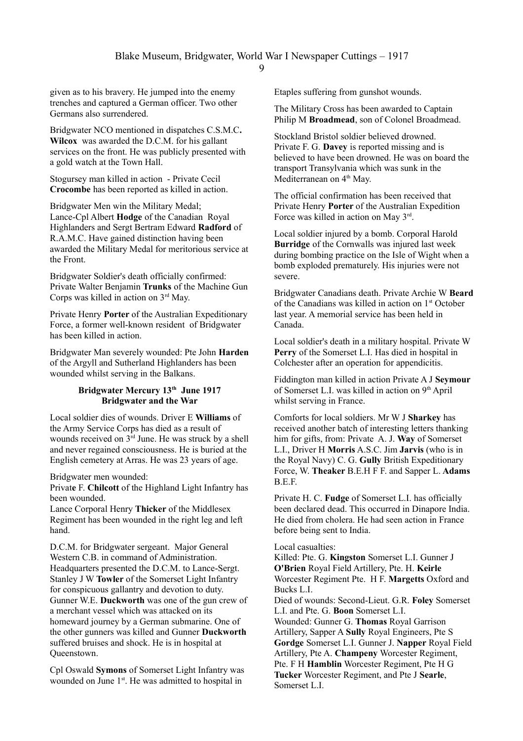given as to his bravery. He jumped into the enemy trenches and captured a German officer. Two other Germans also surrendered.

Bridgwater NCO mentioned in dispatches C.S.M.C**. Wilcox** was awarded the D.C.M. for his gallant services on the front. He was publicly presented with a gold watch at the Town Hall.

Stogursey man killed in action - Private Cecil **Crocombe** has been reported as killed in action.

Bridgwater Men win the Military Medal; Lance-Cpl Albert **Hodge** of the Canadian Royal Highlanders and Sergt Bertram Edward **Radford** of R.A.M.C. Have gained distinction having been awarded the Military Medal for meritorious service at the Front.

Bridgwater Soldier's death officially confirmed: Private Walter Benjamin **Trunks** of the Machine Gun Corps was killed in action on  $3<sup>rd</sup>$  May.

Private Henry **Porter** of the Australian Expeditionary Force, a former well-known resident of Bridgwater has been killed in action.

Bridgwater Man severely wounded: Pte John **Harden** of the Argyll and Sutherland Highlanders has been wounded whilst serving in the Balkans.

# **Bridgwater Mercury 13th June 1917 Bridgwater and the War**

Local soldier dies of wounds. Driver E **Williams** of the Army Service Corps has died as a result of wounds received on 3<sup>rd</sup> June. He was struck by a shell and never regained consciousness. He is buried at the English cemetery at Arras. He was 23 years of age.

Bridgwater men wounded:

Privat**e** F. **Chilcott** of the Highland Light Infantry has been wounded.

Lance Corporal Henry **Thicker** of the Middlesex Regiment has been wounded in the right leg and left hand.

D.C.M. for Bridgwater sergeant. Major General Western C.B. in command of Administration. Headquarters presented the D.C.M. to Lance-Sergt. Stanley J W **Towler** of the Somerset Light Infantry for conspicuous gallantry and devotion to duty. Gunner W.E. **Duckworth** was one of the gun crew of a merchant vessel which was attacked on its homeward journey by a German submarine. One of the other gunners was killed and Gunner **Duckworth** suffered bruises and shock. He is in hospital at Queenstown.

Cpl Oswald **Symons** of Somerset Light Infantry was wounded on June 1<sup>st</sup>. He was admitted to hospital in

Etaples suffering from gunshot wounds.

The Military Cross has been awarded to Captain Philip M **Broadmead**, son of Colonel Broadmead.

Stockland Bristol soldier believed drowned. Private F. G. **Davey** is reported missing and is believed to have been drowned. He was on board the transport Transylvania which was sunk in the Mediterranean on 4<sup>th</sup> May.

The official confirmation has been received that Private Henry **Porter** of the Australian Expedition Force was killed in action on May 3rd.

Local soldier injured by a bomb. Corporal Harold **Burridge** of the Cornwalls was injured last week during bombing practice on the Isle of Wight when a bomb exploded prematurely. His injuries were not severe.

Bridgwater Canadians death. Private Archie W **Beard** of the Canadians was killed in action on 1<sup>st</sup> October last year. A memorial service has been held in Canada.

Local soldier's death in a military hospital. Private W **Perry** of the Somerset L.I. Has died in hospital in Colchester after an operation for appendicitis.

Fiddington man killed in action Private A J **Seymour** of Somerset L.I. was killed in action on  $9<sup>th</sup>$  April whilst serving in France.

Comforts for local soldiers. Mr W J **Sharkey** has received another batch of interesting letters thanking him for gifts, from: Private A. J. **Way** of Somerset L.I., Driver H **Morris** A.S.C. Jim **Jarvis** (who is in the Royal Navy) C. G. **Gully** British Expeditionary Force, W. **Theaker** B.E.H F F. and Sapper L. **Adams**  B.E.F.

Private H. C. **Fudge** of Somerset L.I. has officially been declared dead. This occurred in Dinapore India. He died from cholera. He had seen action in France before being sent to India.

## Local casualties:

Killed: Pte. G. **Kingston** Somerset L.I. Gunner J **O'Brien** Royal Field Artillery, Pte. H. **Keirle** Worcester Regiment Pte. H F. **Margetts** Oxford and Bucks L.I. Died of wounds: Second-Lieut. G.R. **Foley** Somerset L.I. and Pte. G. **Boon** Somerset L.I.

Wounded: Gunner G. **Thomas** Royal Garrison Artillery, Sapper A **Sully** Royal Engineers, Pte S **Gordge** Somerset L.I. Gunner J. **Napper** Royal Field Artillery, Pte A. **Champeny** Worcester Regiment, Pte. F H **Hamblin** Worcester Regiment, Pte H G **Tucker** Worcester Regiment, and Pte J **Searle**, Somerset L.I.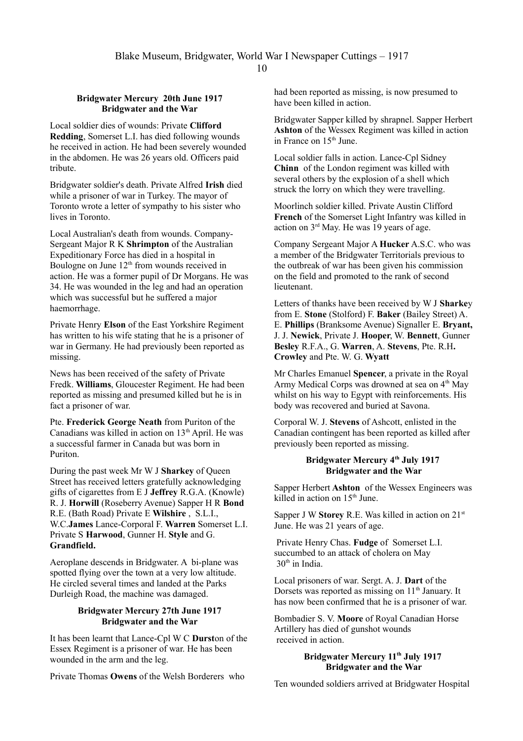#### **Bridgwater Mercury 20th June 1917 Bridgwater and the War**

Local soldier dies of wounds: Private **Clifford Redding**, Somerset L.I. has died following wounds he received in action. He had been severely wounded in the abdomen. He was 26 years old. Officers paid tribute.

Bridgwater soldier's death. Private Alfred **Irish** died while a prisoner of war in Turkey. The mayor of Toronto wrote a letter of sympathy to his sister who lives in Toronto.

Local Australian's death from wounds. Company-Sergeant Major R K **Shrimpton** of the Australian Expeditionary Force has died in a hospital in Boulogne on June  $12<sup>th</sup>$  from wounds received in action. He was a former pupil of Dr Morgans. He was 34. He was wounded in the leg and had an operation which was successful but he suffered a major haemorrhage.

Private Henry **Elson** of the East Yorkshire Regiment has written to his wife stating that he is a prisoner of war in Germany. He had previously been reported as missing.

News has been received of the safety of Private Fredk. **Williams**, Gloucester Regiment. He had been reported as missing and presumed killed but he is in fact a prisoner of war.

Pte. **Frederick George Neath** from Puriton of the Canadians was killed in action on  $13<sup>th</sup>$  April. He was a successful farmer in Canada but was born in Puriton.

During the past week Mr W J **Sharkey** of Queen Street has received letters gratefully acknowledging gifts of cigarettes from E J **Jeffrey** R.G.A. (Knowle) R. J. **Horwill** (Roseberry Avenue) Sapper H R **Bond** R.E. (Bath Road) Private E **Wilshire** , S.L.I., W.C.**James** Lance-Corporal F. **Warren** Somerset L.I. Private S **Harwood**, Gunner H. **Style** and G. **Grandfield.**

Aeroplane descends in Bridgwater. A bi-plane was spotted flying over the town at a very low altitude. He circled several times and landed at the Parks Durleigh Road, the machine was damaged.

## **Bridgwater Mercury 27th June 1917 Bridgwater and the War**

It has been learnt that Lance-Cpl W C **Durst**on of the Essex Regiment is a prisoner of war. He has been wounded in the arm and the leg.

Private Thomas **Owens** of the Welsh Borderers who

had been reported as missing, is now presumed to have been killed in action.

Bridgwater Sapper killed by shrapnel. Sapper Herbert **Ashton** of the Wessex Regiment was killed in action in France on 15<sup>th</sup> June.

Local soldier falls in action. Lance-Cpl Sidney **Chinn** of the London regiment was killed with several others by the explosion of a shell which struck the lorry on which they were travelling.

Moorlinch soldier killed. Private Austin Clifford **French** of the Somerset Light Infantry was killed in action on 3rd May. He was 19 years of age.

Company Sergeant Major A **Hucker** A.S.C. who was a member of the Bridgwater Territorials previous to the outbreak of war has been given his commission on the field and promoted to the rank of second lieutenant.

Letters of thanks have been received by W J **Sharke**y from E. **Stone** (Stolford) F. **Baker** (Bailey Street) A. E. **Phillips** (Branksome Avenue) Signaller E. **Bryant,** J. J. **Newick**, Private J. **Hooper**, W. **Bennett**, Gunner **Besley** R.F.A., G. **Warren**, A. **Stevens**, Pte. R.H**. Crowley** and Pte. W. G. **Wyatt**

Mr Charles Emanuel **Spencer**, a private in the Royal Army Medical Corps was drowned at sea on 4<sup>th</sup> May whilst on his way to Egypt with reinforcements. His body was recovered and buried at Savona.

Corporal W. J. **Stevens** of Ashcott, enlisted in the Canadian contingent has been reported as killed after previously been reported as missing.

### **Bridgwater Mercury 4th July 1917 Bridgwater and the War**

Sapper Herbert **Ashton** of the Wessex Engineers was killed in action on  $15<sup>th</sup>$  June.

Sapper J W **Storey** R.E. Was killed in action on 21<sup>st</sup> June. He was 21 years of age.

 Private Henry Chas. **Fudge** of Somerset L.I. succumbed to an attack of cholera on May 30<sup>th</sup> in India.

Local prisoners of war. Sergt. A. J. **Dart** of the Dorsets was reported as missing on 11<sup>th</sup> January. It has now been confirmed that he is a prisoner of war.

Bombadier S. V. **Moore** of Royal Canadian Horse Artillery has died of gunshot wounds received in action.

## **Bridgwater Mercury 11th July 1917 Bridgwater and the War**

Ten wounded soldiers arrived at Bridgwater Hospital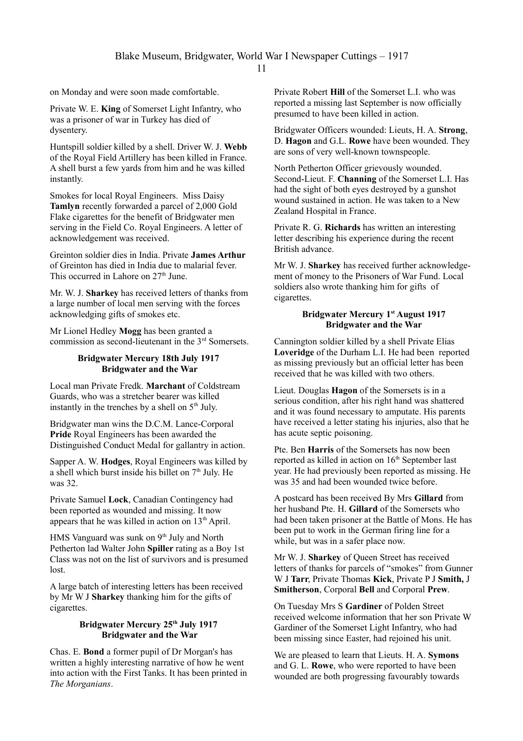on Monday and were soon made comfortable.

Private W. E. **King** of Somerset Light Infantry, who was a prisoner of war in Turkey has died of dysentery.

Huntspill soldier killed by a shell. Driver W. J. **Webb** of the Royal Field Artillery has been killed in France. A shell burst a few yards from him and he was killed instantly.

Smokes for local Royal Engineers. Miss Daisy **Tamlyn** recently forwarded a parcel of 2,000 Gold Flake cigarettes for the benefit of Bridgwater men serving in the Field Co. Royal Engineers. A letter of acknowledgement was received.

Greinton soldier dies in India. Private **James Arthur** of Greinton has died in India due to malarial fever. This occurred in Lahore on  $27<sup>th</sup>$  June.

Mr. W. J. **Sharkey** has received letters of thanks from a large number of local men serving with the forces acknowledging gifts of smokes etc.

Mr Lionel Hedley **Mogg** has been granted a commission as second-lieutenant in the 3rd Somersets.

### **Bridgwater Mercury 18th July 1917 Bridgwater and the War**

Local man Private Fredk. **Marchant** of Coldstream Guards, who was a stretcher bearer was killed instantly in the trenches by a shell on  $5<sup>th</sup>$  July.

Bridgwater man wins the D.C.M. Lance-Corporal **Pride** Royal Engineers has been awarded the Distinguished Conduct Medal for gallantry in action.

Sapper A. W. **Hodges**, Royal Engineers was killed by a shell which burst inside his billet on  $7<sup>th</sup>$  July. He was 32.

Private Samuel **Lock**, Canadian Contingency had been reported as wounded and missing. It now appears that he was killed in action on  $13<sup>th</sup>$  April.

HMS Vanguard was sunk on  $9<sup>th</sup>$  July and North Petherton lad Walter John **Spiller** rating as a Boy 1st Class was not on the list of survivors and is presumed lost.

A large batch of interesting letters has been received by Mr W J **Sharkey** thanking him for the gifts of cigarettes.

## **Bridgwater Mercury 25th July 1917 Bridgwater and the War**

Chas. E. **Bond** a former pupil of Dr Morgan's has written a highly interesting narrative of how he went into action with the First Tanks. It has been printed in *The Morganians*.

Private Robert **Hill** of the Somerset L.I. who was reported a missing last September is now officially presumed to have been killed in action.

Bridgwater Officers wounded: Lieuts, H. A. **Strong**, D. **Hagon** and G.L. **Rowe** have been wounded. They are sons of very well-known townspeople.

North Petherton Officer grievously wounded. Second-Lieut. F. **Channing** of the Somerset L.I. Has had the sight of both eyes destroyed by a gunshot wound sustained in action. He was taken to a New Zealand Hospital in France.

Private R. G. **Richards** has written an interesting letter describing his experience during the recent British advance.

Mr W. J. **Sharkey** has received further acknowledgement of money to the Prisoners of War Fund. Local soldiers also wrote thanking him for gifts of cigarettes.

# **Bridgwater Mercury 1st August 1917 Bridgwater and the War**

Cannington soldier killed by a shell Private Elias **Loveridge** of the Durham L.I. He had been reported as missing previously but an official letter has been received that he was killed with two others.

Lieut. Douglas **Hagon** of the Somersets is in a serious condition, after his right hand was shattered and it was found necessary to amputate. His parents have received a letter stating his injuries, also that he has acute septic poisoning.

Pte. Ben **Harris** of the Somersets has now been reported as killed in action on 16<sup>th</sup> September last year. He had previously been reported as missing. He was 35 and had been wounded twice before.

A postcard has been received By Mrs **Gillard** from her husband Pte. H. **Gillard** of the Somersets who had been taken prisoner at the Battle of Mons. He has been put to work in the German firing line for a while, but was in a safer place now.

Mr W. J. **Sharkey** of Queen Street has received letters of thanks for parcels of "smokes" from Gunner W J **Tarr**, Private Thomas **Kick**, Private P J **Smith,** J **Smitherson**, Corporal **Bell** and Corporal **Prew**.

On Tuesday Mrs S **Gardiner** of Polden Street received welcome information that her son Private W Gardiner of the Somerset Light Infantry, who had been missing since Easter, had rejoined his unit.

We are pleased to learn that Lieuts. H. A. **Symons** and G. L. **Rowe**, who were reported to have been wounded are both progressing favourably towards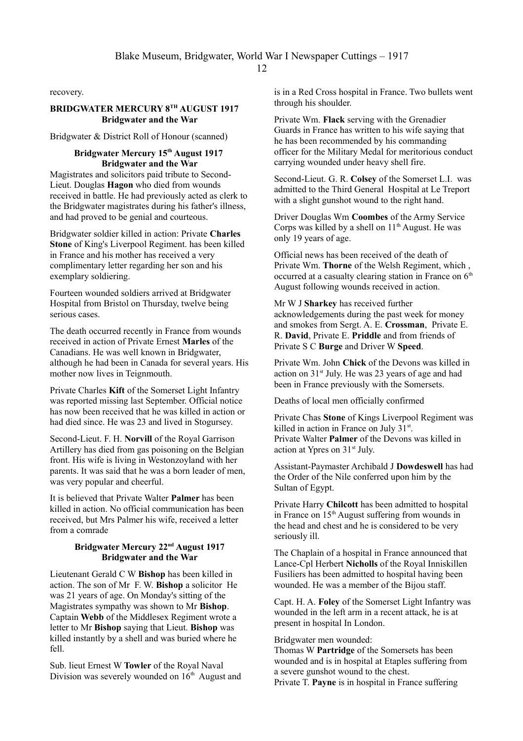recovery.

## **BRIDGWATER MERCURY 8TH AUGUST 1917 Bridgwater and the War**

Bridgwater & District Roll of Honour (scanned)

#### **Bridgwater Mercury 15th August 1917 Bridgwater and the War**

Magistrates and solicitors paid tribute to Second-Lieut. Douglas **Hagon** who died from wounds received in battle. He had previously acted as clerk to the Bridgwater magistrates during his father's illness, and had proved to be genial and courteous.

Bridgwater soldier killed in action: Private **Charles Stone** of King's Liverpool Regiment. has been killed in France and his mother has received a very complimentary letter regarding her son and his exemplary soldiering.

Fourteen wounded soldiers arrived at Bridgwater Hospital from Bristol on Thursday, twelve being serious cases.

The death occurred recently in France from wounds received in action of Private Ernest **Marles** of the Canadians. He was well known in Bridgwater, although he had been in Canada for several years. His mother now lives in Teignmouth.

Private Charles **Kift** of the Somerset Light Infantry was reported missing last September. Official notice has now been received that he was killed in action or had died since. He was 23 and lived in Stogursey.

Second-Lieut. F. H. **Norvill** of the Royal Garrison Artillery has died from gas poisoning on the Belgian front. His wife is living in Westonzoyland with her parents. It was said that he was a born leader of men, was very popular and cheerful.

It is believed that Private Walter **Palmer** has been killed in action. No official communication has been received, but Mrs Palmer his wife, received a letter from a comrade

# **Bridgwater Mercury 22nd August 1917 Bridgwater and the War**

Lieutenant Gerald C W **Bishop** has been killed in action. The son of Mr F. W. **Bishop** a solicitor He was 21 years of age. On Monday's sitting of the Magistrates sympathy was shown to Mr **Bishop**. Captain **Webb** of the Middlesex Regiment wrote a letter to Mr **Bishop** saying that Lieut. **Bishop** was killed instantly by a shell and was buried where he fell.

Sub. lieut Ernest W **Towler** of the Royal Naval Division was severely wounded on  $16<sup>th</sup>$  August and is in a Red Cross hospital in France. Two bullets went through his shoulder.

Private Wm. **Flack** serving with the Grenadier Guards in France has written to his wife saying that he has been recommended by his commanding officer for the Military Medal for meritorious conduct carrying wounded under heavy shell fire.

Second-Lieut. G. R. **Colsey** of the Somerset L.I. was admitted to the Third General Hospital at Le Treport with a slight gunshot wound to the right hand.

Driver Douglas Wm **Coombes** of the Army Service Corps was killed by a shell on  $11<sup>th</sup>$  August. He was only 19 years of age.

Official news has been received of the death of Private Wm. **Thorne** of the Welsh Regiment, which , occurred at a casualty clearing station in France on  $6<sup>th</sup>$ August following wounds received in action.

Mr W J **Sharkey** has received further acknowledgements during the past week for money and smokes from Sergt. A. E. **Crossman**, Private E. R. **David**, Private E. **Priddle** and from friends of Private S C **Burge** and Driver W **Speed**.

Private Wm. John **Chick** of the Devons was killed in action on 31<sup>st</sup> July. He was 23 years of age and had been in France previously with the Somersets.

Deaths of local men officially confirmed

Private Chas **Stone** of Kings Liverpool Regiment was killed in action in France on July 31<sup>st</sup>. Private Walter **Palmer** of the Devons was killed in action at Ypres on 31st July.

Assistant-Paymaster Archibald J **Dowdeswell** has had the Order of the Nile conferred upon him by the Sultan of Egypt.

Private Harry **Chilcott** has been admitted to hospital in France on  $15<sup>th</sup>$  August suffering from wounds in the head and chest and he is considered to be very seriously ill.

The Chaplain of a hospital in France announced that Lance-Cpl Herbert **Nicholls** of the Royal Inniskillen Fusiliers has been admitted to hospital having been wounded. He was a member of the Bijou staff.

Capt. H. A. **Foley** of the Somerset Light Infantry was wounded in the left arm in a recent attack, he is at present in hospital In London.

#### Bridgwater men wounded:

Thomas W **Partridge** of the Somersets has been wounded and is in hospital at Etaples suffering from a severe gunshot wound to the chest. Private T. **Payne** is in hospital in France suffering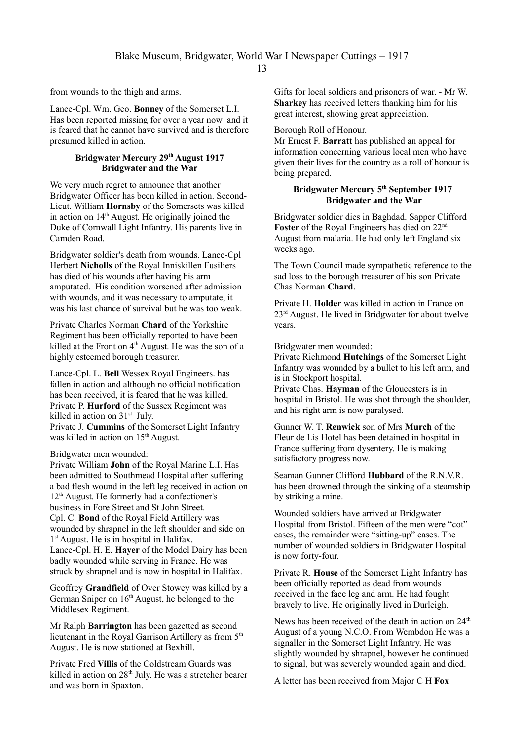from wounds to the thigh and arms.

Lance-Cpl. Wm. Geo. **Bonney** of the Somerset L.I. Has been reported missing for over a year now and it is feared that he cannot have survived and is therefore presumed killed in action.

### **Bridgwater Mercury 29th August 1917 Bridgwater and the War**

We very much regret to announce that another Bridgwater Officer has been killed in action. Second-Lieut. William **Hornsby** of the Somersets was killed in action on  $14<sup>th</sup>$  August. He originally joined the Duke of Cornwall Light Infantry. His parents live in Camden Road.

Bridgwater soldier's death from wounds. Lance-Cpl Herbert **Nicholls** of the Royal Inniskillen Fusiliers has died of his wounds after having his arm amputated. His condition worsened after admission with wounds, and it was necessary to amputate, it was his last chance of survival but he was too weak.

Private Charles Norman **Chard** of the Yorkshire Regiment has been officially reported to have been killed at the Front on 4<sup>th</sup> August. He was the son of a highly esteemed borough treasurer.

Lance-Cpl. L. **Bell** Wessex Royal Engineers. has fallen in action and although no official notification has been received, it is feared that he was killed. Private P. **Hurford** of the Sussex Regiment was killed in action on  $31<sup>st</sup>$  July.

Private J. **Cummins** of the Somerset Light Infantry was killed in action on 15<sup>th</sup> August.

#### Bridgwater men wounded:

Private William **John** of the Royal Marine L.I. Has been admitted to Southmead Hospital after suffering a bad flesh wound in the left leg received in action on 12th August. He formerly had a confectioner's business in Fore Street and St John Street. Cpl. C. **Bond** of the Royal Field Artillery was wounded by shrapnel in the left shoulder and side on 1<sup>st</sup> August. He is in hospital in Halifax. Lance-Cpl. H. E. **Hayer** of the Model Dairy has been badly wounded while serving in France. He was struck by shrapnel and is now in hospital in Halifax.

Geoffrey **Grandfield** of Over Stowey was killed by a German Sniper on  $16<sup>th</sup>$  August, he belonged to the Middlesex Regiment.

Mr Ralph **Barrington** has been gazetted as second lieutenant in the Royal Garrison Artillery as from  $5<sup>th</sup>$ August. He is now stationed at Bexhill.

Private Fred **Villis** of the Coldstream Guards was killed in action on 28<sup>th</sup> July. He was a stretcher bearer and was born in Spaxton.

Gifts for local soldiers and prisoners of war. - Mr W. **Sharkey** has received letters thanking him for his great interest, showing great appreciation.

### Borough Roll of Honour.

Mr Ernest F. **Barratt** has published an appeal for information concerning various local men who have given their lives for the country as a roll of honour is being prepared.

# **Bridgwater Mercury 5th September 1917 Bridgwater and the War**

Bridgwater soldier dies in Baghdad. Sapper Clifford Foster of the Royal Engineers has died on 22<sup>nd</sup> August from malaria. He had only left England six weeks ago.

The Town Council made sympathetic reference to the sad loss to the borough treasurer of his son Private Chas Norman **Chard**.

Private H. **Holder** was killed in action in France on 23rd August. He lived in Bridgwater for about twelve years.

Bridgwater men wounded:

Private Richmond **Hutchings** of the Somerset Light Infantry was wounded by a bullet to his left arm, and is in Stockport hospital.

Private Chas. **Hayman** of the Gloucesters is in hospital in Bristol. He was shot through the shoulder, and his right arm is now paralysed.

Gunner W. T. **Renwick** son of Mrs **Murch** of the Fleur de Lis Hotel has been detained in hospital in France suffering from dysentery. He is making satisfactory progress now.

Seaman Gunner Clifford **Hubbard** of the R.N.V.R. has been drowned through the sinking of a steamship by striking a mine.

Wounded soldiers have arrived at Bridgwater Hospital from Bristol. Fifteen of the men were "cot" cases, the remainder were "sitting-up" cases. The number of wounded soldiers in Bridgwater Hospital is now forty-four.

Private R. **House** of the Somerset Light Infantry has been officially reported as dead from wounds received in the face leg and arm. He had fought bravely to live. He originally lived in Durleigh.

News has been received of the death in action on 24<sup>th</sup> August of a young N.C.O. From Wembdon He was a signaller in the Somerset Light Infantry. He was slightly wounded by shrapnel, however he continued to signal, but was severely wounded again and died.

A letter has been received from Major C H **Fox**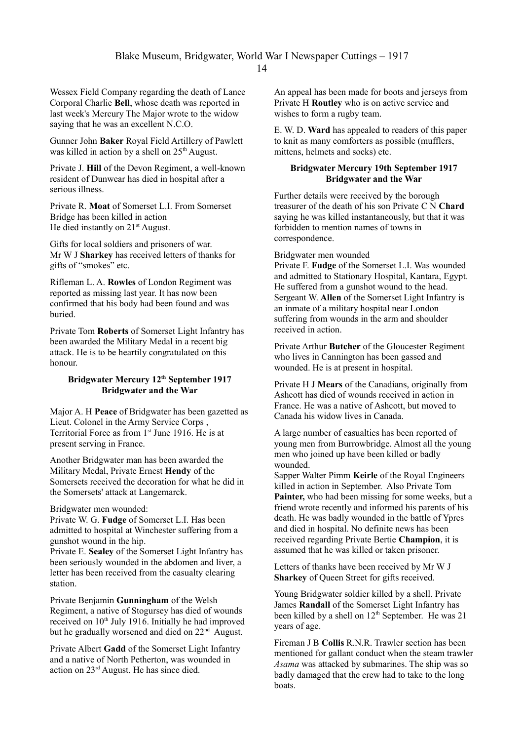Wessex Field Company regarding the death of Lance Corporal Charlie **Bell**, whose death was reported in last week's Mercury The Major wrote to the widow saying that he was an excellent N.C.O.

Gunner John **Baker** Royal Field Artillery of Pawlett was killed in action by a shell on  $25<sup>th</sup>$  August.

Private J. **Hill** of the Devon Regiment, a well-known resident of Dunwear has died in hospital after a serious illness.

Private R. **Moat** of Somerset L.I. From Somerset Bridge has been killed in action He died instantly on  $21<sup>st</sup>$  August.

Gifts for local soldiers and prisoners of war. Mr W J **Sharkey** has received letters of thanks for gifts of "smokes" etc.

Rifleman L. A. **Rowles** of London Regiment was reported as missing last year. It has now been confirmed that his body had been found and was buried.

Private Tom **Roberts** of Somerset Light Infantry has been awarded the Military Medal in a recent big attack. He is to be heartily congratulated on this honour.

## **Bridgwater Mercury 12th September 1917 Bridgwater and the War**

Major A. H **Peace** of Bridgwater has been gazetted as Lieut. Colonel in the Army Service Corps , Territorial Force as from 1<sup>st</sup> June 1916. He is at present serving in France.

Another Bridgwater man has been awarded the Military Medal, Private Ernest **Hendy** of the Somersets received the decoration for what he did in the Somersets' attack at Langemarck.

#### Bridgwater men wounded:

Private W. G. **Fudge** of Somerset L.I. Has been admitted to hospital at Winchester suffering from a gunshot wound in the hip.

Private E. **Sealey** of the Somerset Light Infantry has been seriously wounded in the abdomen and liver, a letter has been received from the casualty clearing station.

Private Benjamin **Gunningham** of the Welsh Regiment, a native of Stogursey has died of wounds received on  $10<sup>th</sup>$  July 1916. Initially he had improved but he gradually worsened and died on 22<sup>nd</sup> August.

Private Albert **Gadd** of the Somerset Light Infantry and a native of North Petherton, was wounded in action on 23rd August. He has since died.

An appeal has been made for boots and jerseys from Private H **Routley** who is on active service and wishes to form a rugby team.

E. W. D. **Ward** has appealed to readers of this paper to knit as many comforters as possible (mufflers, mittens, helmets and socks) etc.

### **Bridgwater Mercury 19th September 1917 Bridgwater and the War**

Further details were received by the borough treasurer of the death of his son Private C N **Chard**  saying he was killed instantaneously, but that it was forbidden to mention names of towns in correspondence.

#### Bridgwater men wounded

Private F. **Fudge** of the Somerset L.I. Was wounded and admitted to Stationary Hospital, Kantara, Egypt. He suffered from a gunshot wound to the head. Sergeant W. **Allen** of the Somerset Light Infantry is an inmate of a military hospital near London suffering from wounds in the arm and shoulder received in action.

Private Arthur **Butcher** of the Gloucester Regiment who lives in Cannington has been gassed and wounded. He is at present in hospital.

Private H J **Mears** of the Canadians, originally from Ashcott has died of wounds received in action in France. He was a native of Ashcott, but moved to Canada his widow lives in Canada.

A large number of casualties has been reported of young men from Burrowbridge. Almost all the young men who joined up have been killed or badly wounded.

Sapper Walter Pimm **Keirle** of the Royal Engineers killed in action in September. Also Private Tom **Painter,** who had been missing for some weeks, but a friend wrote recently and informed his parents of his death. He was badly wounded in the battle of Ypres and died in hospital. No definite news has been received regarding Private Bertie **Champion**, it is assumed that he was killed or taken prisoner.

Letters of thanks have been received by Mr W J **Sharkey** of Queen Street for gifts received.

Young Bridgwater soldier killed by a shell. Private James **Randall** of the Somerset Light Infantry has been killed by a shell on  $12<sup>th</sup>$  September. He was 21 years of age.

Fireman J B **Collis** R.N.R. Trawler section has been mentioned for gallant conduct when the steam trawler *Asama* was attacked by submarines. The ship was so badly damaged that the crew had to take to the long boats.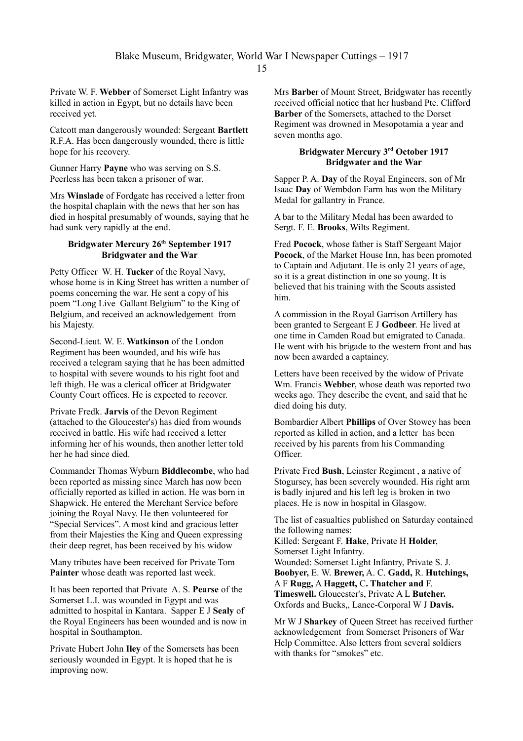Private W. F. **Webber** of Somerset Light Infantry was killed in action in Egypt, but no details have been received yet.

Catcott man dangerously wounded: Sergeant **Bartlett** R.F.A. Has been dangerously wounded, there is little hope for his recovery.

Gunner Harry **Payne** who was serving on S.S. Peerless has been taken a prisoner of war.

Mrs **Winslade** of Fordgate has received a letter from the hospital chaplain with the news that her son has died in hospital presumably of wounds, saying that he had sunk very rapidly at the end.

### **Bridgwater Mercury 26th September 1917 Bridgwater and the War**

Petty Officer W. H. **Tucker** of the Royal Navy, whose home is in King Street has written a number of poems concerning the war. He sent a copy of his poem "Long Live Gallant Belgium" to the King of Belgium, and received an acknowledgement from his Majesty.

Second-Lieut. W. E. **Watkinson** of the London Regiment has been wounded, and his wife has received a telegram saying that he has been admitted to hospital with severe wounds to his right foot and left thigh. He was a clerical officer at Bridgwater County Court offices. He is expected to recover.

Private Fredk. **Jarvis** of the Devon Regiment (attached to the Gloucester's) has died from wounds received in battle. His wife had received a letter informing her of his wounds, then another letter told her he had since died.

Commander Thomas Wyburn **Biddlecombe**, who had been reported as missing since March has now been officially reported as killed in action. He was born in Shapwick. He entered the Merchant Service before joining the Royal Navy. He then volunteered for "Special Services". A most kind and gracious letter from their Majesties the King and Queen expressing their deep regret, has been received by his widow

Many tributes have been received for Private Tom **Painter** whose death was reported last week.

It has been reported that Private A. S. **Pearse** of the Somerset L.I. was wounded in Egypt and was admitted to hospital in Kantara. Sapper E J **Sealy** of the Royal Engineers has been wounded and is now in hospital in Southampton.

Private Hubert John **Iley** of the Somersets has been seriously wounded in Egypt. It is hoped that he is improving now.

Mrs **Barbe**r of Mount Street, Bridgwater has recently received official notice that her husband Pte. Clifford **Barber** of the Somersets, attached to the Dorset Regiment was drowned in Mesopotamia a year and seven months ago.

### **Bridgwater Mercury 3rd October 1917 Bridgwater and the War**

Sapper P. A. **Day** of the Royal Engineers, son of Mr Isaac **Day** of Wembdon Farm has won the Military Medal for gallantry in France.

A bar to the Military Medal has been awarded to Sergt. F. E. **Brooks**, Wilts Regiment.

Fred **Pocock**, whose father is Staff Sergeant Major **Pocock**, of the Market House Inn, has been promoted to Captain and Adjutant. He is only 21 years of age, so it is a great distinction in one so young. It is believed that his training with the Scouts assisted him.

A commission in the Royal Garrison Artillery has been granted to Sergeant E J **Godbeer**. He lived at one time in Camden Road but emigrated to Canada. He went with his brigade to the western front and has now been awarded a captaincy.

Letters have been received by the widow of Private Wm. Francis **Webber**, whose death was reported two weeks ago. They describe the event, and said that he died doing his duty.

Bombardier Albert **Phillips** of Over Stowey has been reported as killed in action, and a letter has been received by his parents from his Commanding Officer.

Private Fred **Bush**, Leinster Regiment , a native of Stogursey, has been severely wounded. His right arm is badly injured and his left leg is broken in two places. He is now in hospital in Glasgow.

The list of casualties published on Saturday contained the following names:

Killed: Sergeant F. **Hake**, Private H **Holder**, Somerset Light Infantry.

Wounded: Somerset Light Infantry, Private S. J. **Boobyer,** E. W. **Brewer,** A. C. **Gadd,** R. **Hutchings,**  A F **Rugg,** A **Haggett,** C**. Thatcher and** F. **Timeswell.** Gloucester's, Private A L **Butcher.** Oxfords and Bucks,, Lance-Corporal W J **Davis.**

Mr W J **Sharkey** of Queen Street has received further acknowledgement from Somerset Prisoners of War Help Committee. Also letters from several soldiers with thanks for "smokes" etc.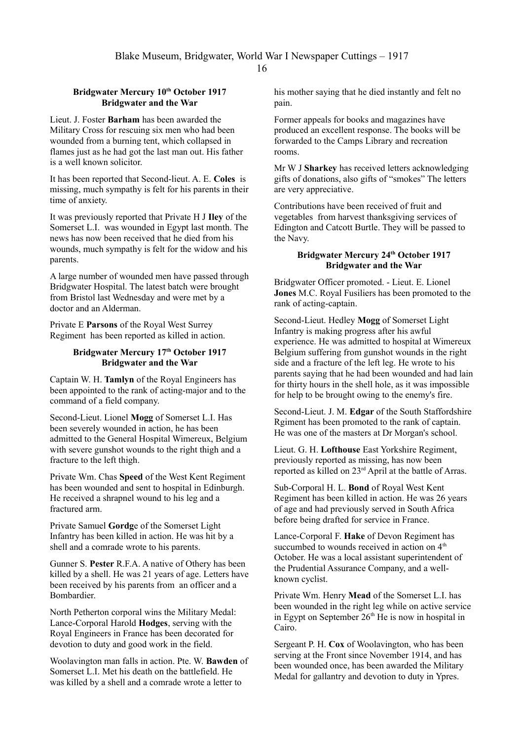### **Bridgwater Mercury 10th October 1917 Bridgwater and the War**

Lieut. J. Foster **Barham** has been awarded the Military Cross for rescuing six men who had been wounded from a burning tent, which collapsed in flames just as he had got the last man out. His father is a well known solicitor.

It has been reported that Second-lieut. A. E. **Coles** is missing, much sympathy is felt for his parents in their time of anxiety.

It was previously reported that Private H J **Iley** of the Somerset L.I. was wounded in Egypt last month. The news has now been received that he died from his wounds, much sympathy is felt for the widow and his parents.

A large number of wounded men have passed through Bridgwater Hospital. The latest batch were brought from Bristol last Wednesday and were met by a doctor and an Alderman.

Private E **Parsons** of the Royal West Surrey Regiment has been reported as killed in action.

## **Bridgwater Mercury 17th October 1917 Bridgwater and the War**

Captain W. H. **Tamlyn** of the Royal Engineers has been appointed to the rank of acting-major and to the command of a field company.

Second-Lieut. Lionel **Mogg** of Somerset L.I. Has been severely wounded in action, he has been admitted to the General Hospital Wimereux, Belgium with severe gunshot wounds to the right thigh and a fracture to the left thigh.

Private Wm. Chas **Speed** of the West Kent Regiment has been wounded and sent to hospital in Edinburgh. He received a shrapnel wound to his leg and a fractured arm.

Private Samuel **Gordg**e of the Somerset Light Infantry has been killed in action. He was hit by a shell and a comrade wrote to his parents.

Gunner S. **Pester** R.F.A. A native of Othery has been killed by a shell. He was 21 years of age. Letters have been received by his parents from an officer and a Bombardier.

North Petherton corporal wins the Military Medal: Lance-Corporal Harold **Hodges**, serving with the Royal Engineers in France has been decorated for devotion to duty and good work in the field.

Woolavington man falls in action. Pte. W. **Bawden** of Somerset L.I. Met his death on the battlefield. He was killed by a shell and a comrade wrote a letter to

his mother saying that he died instantly and felt no pain.

Former appeals for books and magazines have produced an excellent response. The books will be forwarded to the Camps Library and recreation rooms.

Mr W J **Sharkey** has received letters acknowledging gifts of donations, also gifts of "smokes" The letters are very appreciative.

Contributions have been received of fruit and vegetables from harvest thanksgiving services of Edington and Catcott Burtle. They will be passed to the Navy.

## **Bridgwater Mercury 24th October 1917 Bridgwater and the War**

Bridgwater Officer promoted. - Lieut. E. Lionel **Jones** M.C. Royal Fusiliers has been promoted to the rank of acting-captain.

Second-Lieut. Hedley **Mogg** of Somerset Light Infantry is making progress after his awful experience. He was admitted to hospital at Wimereux Belgium suffering from gunshot wounds in the right side and a fracture of the left leg. He wrote to his parents saying that he had been wounded and had lain for thirty hours in the shell hole, as it was impossible for help to be brought owing to the enemy's fire.

Second-Lieut. J. M. **Edgar** of the South Staffordshire Rgiment has been promoted to the rank of captain. He was one of the masters at Dr Morgan's school.

Lieut. G. H. **Lofthouse** East Yorkshire Regiment, previously reported as missing, has now been reported as killed on 23rd April at the battle of Arras.

Sub-Corporal H. L. **Bond** of Royal West Kent Regiment has been killed in action. He was 26 years of age and had previously served in South Africa before being drafted for service in France.

Lance-Corporal F. **Hake** of Devon Regiment has succumbed to wounds received in action on 4<sup>th</sup> October. He was a local assistant superintendent of the Prudential Assurance Company, and a wellknown cyclist.

Private Wm. Henry **Mead** of the Somerset L.I. has been wounded in the right leg while on active service in Egypt on September  $26<sup>th</sup>$  He is now in hospital in Cairo.

Sergeant P. H. **Cox** of Woolavington, who has been serving at the Front since November 1914, and has been wounded once, has been awarded the Military Medal for gallantry and devotion to duty in Ypres.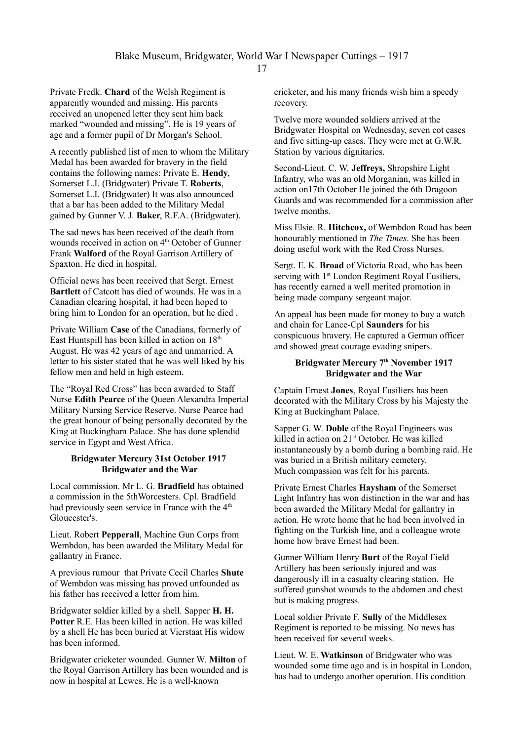Private Fredk. **Chard** of the Welsh Regiment is apparently wounded and missing. His parents received an unopened letter they sent him back marked "wounded and missing". He is 19 years of age and a former pupil of Dr Morgan's School.

A recently published list of men to whom the Military Medal has been awarded for bravery in the field contains the following names: Private E. **Hendy**, Somerset L.I. (Bridgwater) Private T. **Roberts**, Somerset L.I. (Bridgwater) It was also announced that a bar has been added to the Military Medal gained by Gunner V. J. **Baker**, R.F.A. (Bridgwater).

The sad news has been received of the death from wounds received in action on 4<sup>th</sup> October of Gunner Frank **Walford** of the Royal Garrison Artillery of Spaxton. He died in hospital.

Official news has been received that Sergt. Ernest **Bartlett** of Catcott has died of wounds. He was in a Canadian clearing hospital, it had been hoped to bring him to London for an operation, but he died .

Private William **Case** of the Canadians, formerly of East Huntspill has been killed in action on  $18<sup>th</sup>$ August. He was 42 years of age and unmarried. A letter to his sister stated that he was well liked by his fellow men and held in high esteem.

The "Royal Red Cross" has been awarded to Staff Nurse **Edith Pearce** of the Queen Alexandra Imperial Military Nursing Service Reserve. Nurse Pearce had the great honour of being personally decorated by the King at Buckingham Palace. She has done splendid service in Egypt and West Africa.

### **Bridgwater Mercury 31st October 1917 Bridgwater and the War**

Local commission. Mr L. G. **Bradfield** has obtained a commission in the 5thWorcesters. Cpl. Bradfield had previously seen service in France with the 4<sup>th</sup> Gloucester's.

Lieut. Robert **Pepperall**, Machine Gun Corps from Wembdon, has been awarded the Military Medal for gallantry in France.

A previous rumour that Private Cecil Charles **Shute** of Wembdon was missing has proved unfounded as his father has received a letter from him.

Bridgwater soldier killed by a shell. Sapper **H. H. Potter** R.E. Has been killed in action. He was killed by a shell He has been buried at Vierstaat His widow has been informed.

Bridgwater cricketer wounded. Gunner W. **Milton** of the Royal Garrison Artillery has been wounded and is now in hospital at Lewes. He is a well-known

cricketer, and his many friends wish him a speedy recovery.

Twelve more wounded soldiers arrived at the Bridgwater Hospital on Wednesday, seven cot cases and five sitting-up cases. They were met at G.W.R. Station by various dignitaries.

Second-Lieut. C. W. **Jeffreys,** Shropshire Light Infantry, who was an old Morganian, was killed in action on17th October He joined the 6th Dragoon Guards and was recommended for a commission after twelve months.

Miss Elsie. R. **Hitchcox,** of Wembdon Road has been honourably mentioned in *The Times*. She has been doing useful work with the Red Cross Nurses.

Sergt. E. K. **Broad** of Victoria Road, who has been serving with 1<sup>st</sup> London Regiment Royal Fusiliers, has recently earned a well merited promotion in being made company sergeant major.

An appeal has been made for money to buy a watch and chain for Lance-Cpl **Saunders** for his conspicuous bravery. He captured a German officer and showed great courage evading snipers.

# **Bridgwater Mercury 7th November 1917 Bridgwater and the War**

Captain Ernest **Jones**, Royal Fusiliers has been decorated with the Military Cross by his Majesty the King at Buckingham Palace.

Sapper G. W. **Doble** of the Royal Engineers was killed in action on 21<sup>st</sup> October. He was killed instantaneously by a bomb during a bombing raid. He was buried in a British military cemetery. Much compassion was felt for his parents.

Private Ernest Charles **Haysham** of the Somerset Light Infantry has won distinction in the war and has been awarded the Military Medal for gallantry in action. He wrote home that he had been involved in fighting on the Turkish line, and a colleague wrote home how brave Ernest had been.

Gunner William Henry **Burt** of the Royal Field Artillery has been seriously injured and was dangerously ill in a casualty clearing station. He suffered gunshot wounds to the abdomen and chest but is making progress.

Local soldier Private F. **Sully** of the Middlesex Regiment is reported to be missing. No news has been received for several weeks.

Lieut. W. E. **Watkinson** of Bridgwater who was wounded some time ago and is in hospital in London, has had to undergo another operation. His condition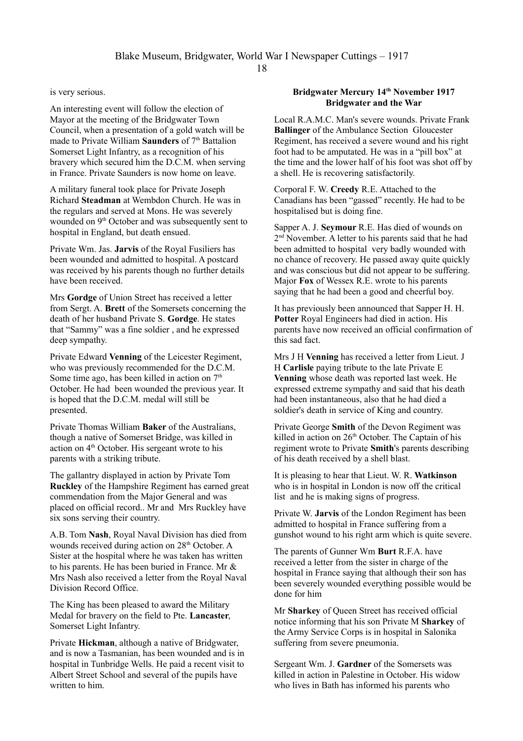is very serious.

An interesting event will follow the election of Mayor at the meeting of the Bridgwater Town Council, when a presentation of a gold watch will be made to Private William **Saunders** of 7<sup>th</sup> Battalion Somerset Light Infantry, as a recognition of his bravery which secured him the D.C.M. when serving in France. Private Saunders is now home on leave.

A military funeral took place for Private Joseph Richard **Steadman** at Wembdon Church. He was in the regulars and served at Mons. He was severely wounded on 9<sup>th</sup> October and was subsequently sent to hospital in England, but death ensued.

Private Wm. Jas. **Jarvis** of the Royal Fusiliers has been wounded and admitted to hospital. A postcard was received by his parents though no further details have been received.

Mrs **Gordge** of Union Street has received a letter from Sergt. A. **Brett** of the Somersets concerning the death of her husband Private S. **Gordge**. He states that "Sammy" was a fine soldier , and he expressed deep sympathy.

Private Edward **Venning** of the Leicester Regiment, who was previously recommended for the D.C.M. Some time ago, has been killed in action on  $7<sup>th</sup>$ October. He had been wounded the previous year. It is hoped that the D.C.M. medal will still be presented.

Private Thomas William **Baker** of the Australians, though a native of Somerset Bridge, was killed in action on 4th October. His sergeant wrote to his parents with a striking tribute.

The gallantry displayed in action by Private Tom **Ruckley** of the Hampshire Regiment has earned great commendation from the Major General and was placed on official record.. Mr and Mrs Ruckley have six sons serving their country.

A.B. Tom **Nash**, Royal Naval Division has died from wounds received during action on 28<sup>th</sup> October. A Sister at the hospital where he was taken has written to his parents. He has been buried in France. Mr & Mrs Nash also received a letter from the Royal Naval Division Record Office.

The King has been pleased to award the Military Medal for bravery on the field to Pte. **Lancaster**, Somerset Light Infantry.

Private **Hickman**, although a native of Bridgwater, and is now a Tasmanian, has been wounded and is in hospital in Tunbridge Wells. He paid a recent visit to Albert Street School and several of the pupils have written to him.

### **Bridgwater Mercury 14th November 1917 Bridgwater and the War**

Local R.A.M.C. Man's severe wounds. Private Frank **Ballinger** of the Ambulance Section Gloucester Regiment, has received a severe wound and his right foot had to be amputated. He was in a "pill box" at the time and the lower half of his foot was shot off by a shell. He is recovering satisfactorily.

Corporal F. W. **Creedy** R.E. Attached to the Canadians has been "gassed" recently. He had to be hospitalised but is doing fine.

Sapper A. J. **Seymour** R.E. Has died of wounds on 2<sup>nd</sup> November. A letter to his parents said that he had been admitted to hospital very badly wounded with no chance of recovery. He passed away quite quickly and was conscious but did not appear to be suffering. Major **Fox** of Wessex R.E. wrote to his parents saying that he had been a good and cheerful boy.

It has previously been announced that Sapper H. H. **Potter** Royal Engineers had died in action. His parents have now received an official confirmation of this sad fact.

Mrs J H **Venning** has received a letter from Lieut. J H **Carlisle** paying tribute to the late Private E **Venning** whose death was reported last week. He expressed extreme sympathy and said that his death had been instantaneous, also that he had died a soldier's death in service of King and country.

Private George **Smith** of the Devon Regiment was killed in action on  $26<sup>th</sup>$  October. The Captain of his regiment wrote to Private **Smith**'s parents describing of his death received by a shell blast.

It is pleasing to hear that Lieut. W. R. **Watkinson** who is in hospital in London is now off the critical list and he is making signs of progress.

Private W. **Jarvis** of the London Regiment has been admitted to hospital in France suffering from a gunshot wound to his right arm which is quite severe.

The parents of Gunner Wm **Burt** R.F.A. have received a letter from the sister in charge of the hospital in France saying that although their son has been severely wounded everything possible would be done for him

Mr **Sharkey** of Queen Street has received official notice informing that his son Private M **Sharkey** of the Army Service Corps is in hospital in Salonika suffering from severe pneumonia.

Sergeant Wm. J. **Gardner** of the Somersets was killed in action in Palestine in October. His widow who lives in Bath has informed his parents who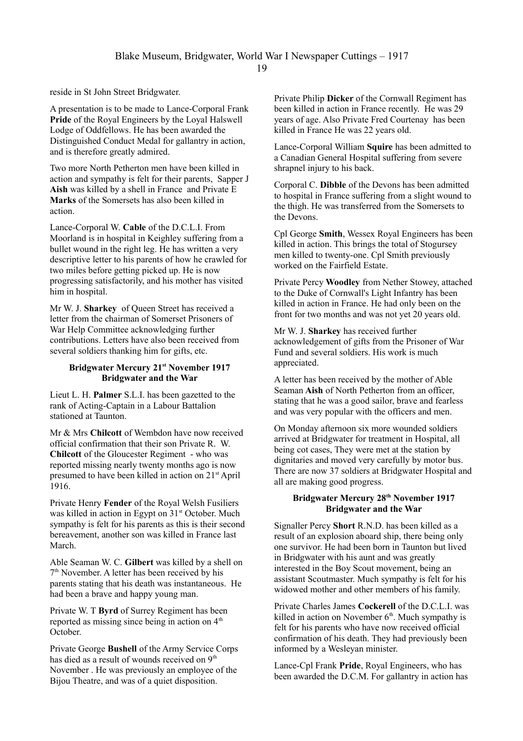reside in St John Street Bridgwater.

A presentation is to be made to Lance-Corporal Frank **Pride** of the Royal Engineers by the Loyal Halswell Lodge of Oddfellows. He has been awarded the Distinguished Conduct Medal for gallantry in action, and is therefore greatly admired.

Two more North Petherton men have been killed in action and sympathy is felt for their parents, Sapper J **Aish** was killed by a shell in France and Private E **Marks** of the Somersets has also been killed in action.

Lance-Corporal W. **Cable** of the D.C.L.I. From Moorland is in hospital in Keighley suffering from a bullet wound in the right leg. He has written a very descriptive letter to his parents of how he crawled for two miles before getting picked up. He is now progressing satisfactorily, and his mother has visited him in hospital.

Mr W. J. **Sharkey** of Queen Street has received a letter from the chairman of Somerset Prisoners of War Help Committee acknowledging further contributions. Letters have also been received from several soldiers thanking him for gifts, etc.

### **Bridgwater Mercury 21st November 1917 Bridgwater and the War**

Lieut L. H. **Palmer** S.L.I. has been gazetted to the rank of Acting-Captain in a Labour Battalion stationed at Taunton.

Mr & Mrs **Chilcott** of Wembdon have now received official confirmation that their son Private R. W. **Chilcott** of the Gloucester Regiment - who was reported missing nearly twenty months ago is now presumed to have been killed in action on 21<sup>st</sup> April 1916.

Private Henry **Fender** of the Royal Welsh Fusiliers was killed in action in Egypt on  $31<sup>st</sup>$  October. Much sympathy is felt for his parents as this is their second bereavement, another son was killed in France last March.

Able Seaman W. C. **Gilbert** was killed by a shell on 7 th November. A letter has been received by his parents stating that his death was instantaneous. He had been a brave and happy young man.

Private W. T **Byrd** of Surrey Regiment has been reported as missing since being in action on  $4<sup>th</sup>$ October.

Private George **Bushell** of the Army Service Corps has died as a result of wounds received on 9<sup>th</sup> November . He was previously an employee of the Bijou Theatre, and was of a quiet disposition.

Private Philip **Dicker** of the Cornwall Regiment has been killed in action in France recently. He was 29 years of age. Also Private Fred Courtenay has been killed in France He was 22 years old.

Lance-Corporal William **Squire** has been admitted to a Canadian General Hospital suffering from severe shrapnel injury to his back.

Corporal C. **Dibble** of the Devons has been admitted to hospital in France suffering from a slight wound to the thigh. He was transferred from the Somersets to the Devons.

Cpl George **Smith**, Wessex Royal Engineers has been killed in action. This brings the total of Stogursey men killed to twenty-one. Cpl Smith previously worked on the Fairfield Estate.

Private Percy **Woodley** from Nether Stowey, attached to the Duke of Cornwall's Light Infantry has been killed in action in France. He had only been on the front for two months and was not yet 20 years old.

Mr W. J. **Sharkey** has received further acknowledgement of gifts from the Prisoner of War Fund and several soldiers. His work is much appreciated.

A letter has been received by the mother of Able Seaman **Aish** of North Petherton from an officer, stating that he was a good sailor, brave and fearless and was very popular with the officers and men.

On Monday afternoon six more wounded soldiers arrived at Bridgwater for treatment in Hospital, all being cot cases, They were met at the station by dignitaries and moved very carefully by motor bus. There are now 37 soldiers at Bridgwater Hospital and all are making good progress.

# **Bridgwater Mercury 28th November 1917 Bridgwater and the War**

Signaller Percy **Short** R.N.D. has been killed as a result of an explosion aboard ship, there being only one survivor. He had been born in Taunton but lived in Bridgwater with his aunt and was greatly interested in the Boy Scout movement, being an assistant Scoutmaster. Much sympathy is felt for his widowed mother and other members of his family.

Private Charles James **Cockerell** of the D.C.L.I. was killed in action on November  $6<sup>th</sup>$ . Much sympathy is felt for his parents who have now received official confirmation of his death. They had previously been informed by a Wesleyan minister.

Lance-Cpl Frank **Pride**, Royal Engineers, who has been awarded the D.C.M. For gallantry in action has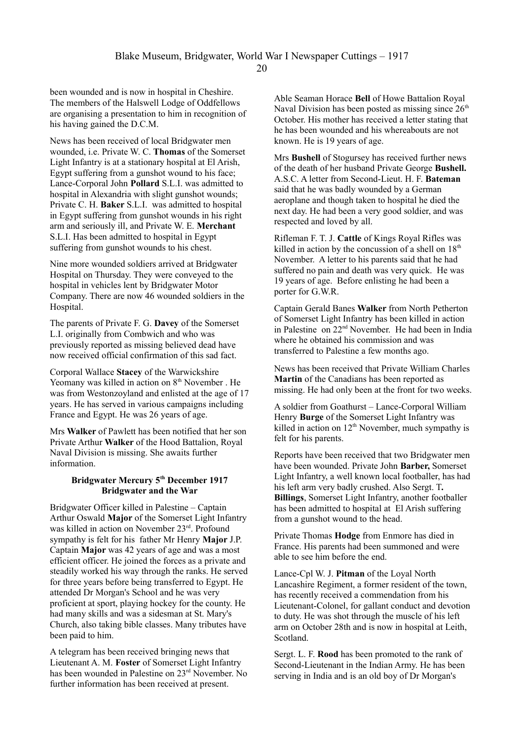been wounded and is now in hospital in Cheshire. The members of the Halswell Lodge of Oddfellows are organising a presentation to him in recognition of his having gained the D.C.M.

News has been received of local Bridgwater men wounded, i.e. Private W. C. **Thomas** of the Somerset Light Infantry is at a stationary hospital at El Arish, Egypt suffering from a gunshot wound to his face; Lance-Corporal John **Pollard** S.L.I. was admitted to hospital in Alexandria with slight gunshot wounds; Private C. H. **Baker** S.L.I. was admitted to hospital in Egypt suffering from gunshot wounds in his right arm and seriously ill, and Private W. E. **Merchant**  S.L.I. Has been admitted to hospital in Egypt suffering from gunshot wounds to his chest.

Nine more wounded soldiers arrived at Bridgwater Hospital on Thursday. They were conveyed to the hospital in vehicles lent by Bridgwater Motor Company. There are now 46 wounded soldiers in the Hospital.

The parents of Private F. G. **Davey** of the Somerset L.I. originally from Combwich and who was previously reported as missing believed dead have now received official confirmation of this sad fact.

Corporal Wallace **Stacey** of the Warwickshire Yeomany was killed in action on  $8<sup>th</sup>$  November . He was from Westonzoyland and enlisted at the age of 17 years. He has served in various campaigns including France and Egypt. He was 26 years of age.

Mrs **Walker** of Pawlett has been notified that her son Private Arthur **Walker** of the Hood Battalion, Royal Naval Division is missing. She awaits further information.

### **Bridgwater Mercury 5th December 1917 Bridgwater and the War**

Bridgwater Officer killed in Palestine – Captain Arthur Oswald **Major** of the Somerset Light Infantry was killed in action on November 23rd. Profound sympathy is felt for his father Mr Henry **Major** J.P. Captain **Major** was 42 years of age and was a most efficient officer. He joined the forces as a private and steadily worked his way through the ranks. He served for three years before being transferred to Egypt. He attended Dr Morgan's School and he was very proficient at sport, playing hockey for the county. He had many skills and was a sidesman at St. Mary's Church, also taking bible classes. Many tributes have been paid to him.

A telegram has been received bringing news that Lieutenant A. M. **Foster** of Somerset Light Infantry has been wounded in Palestine on 23<sup>rd</sup> November. No further information has been received at present.

Able Seaman Horace **Bell** of Howe Battalion Royal Naval Division has been posted as missing since  $26<sup>th</sup>$ October. His mother has received a letter stating that he has been wounded and his whereabouts are not known. He is 19 years of age.

Mrs **Bushell** of Stogursey has received further news of the death of her husband Private George **Bushell.** A.S.C. A letter from Second-Lieut. H. F. **Bateman** said that he was badly wounded by a German aeroplane and though taken to hospital he died the next day. He had been a very good soldier, and was respected and loved by all.

Rifleman F. T. J. **Cattle** of Kings Royal Rifles was killed in action by the concussion of a shell on  $18<sup>th</sup>$ November. A letter to his parents said that he had suffered no pain and death was very quick. He was 19 years of age. Before enlisting he had been a porter for G.W.R.

Captain Gerald Banes **Walker** from North Petherton of Somerset Light Infantry has been killed in action in Palestine on 22nd November. He had been in India where he obtained his commission and was transferred to Palestine a few months ago.

News has been received that Private William Charles **Martin** of the Canadians has been reported as missing. He had only been at the front for two weeks.

A soldier from Goathurst – Lance-Corporal William Henry **Burge** of the Somerset Light Infantry was killed in action on  $12<sup>th</sup>$  November, much sympathy is felt for his parents.

Reports have been received that two Bridgwater men have been wounded. Private John **Barber,** Somerset Light Infantry, a well known local footballer, has had his left arm very badly crushed. Also Sergt. T**. Billings**, Somerset Light Infantry, another footballer has been admitted to hospital at El Arish suffering from a gunshot wound to the head.

Private Thomas **Hodge** from Enmore has died in France. His parents had been summoned and were able to see him before the end.

Lance-Cpl W. J. **Pitman** of the Loyal North Lancashire Regiment, a former resident of the town, has recently received a commendation from his Lieutenant-Colonel, for gallant conduct and devotion to duty. He was shot through the muscle of his left arm on October 28th and is now in hospital at Leith, Scotland.

Sergt. L. F. **Rood** has been promoted to the rank of Second-Lieutenant in the Indian Army. He has been serving in India and is an old boy of Dr Morgan's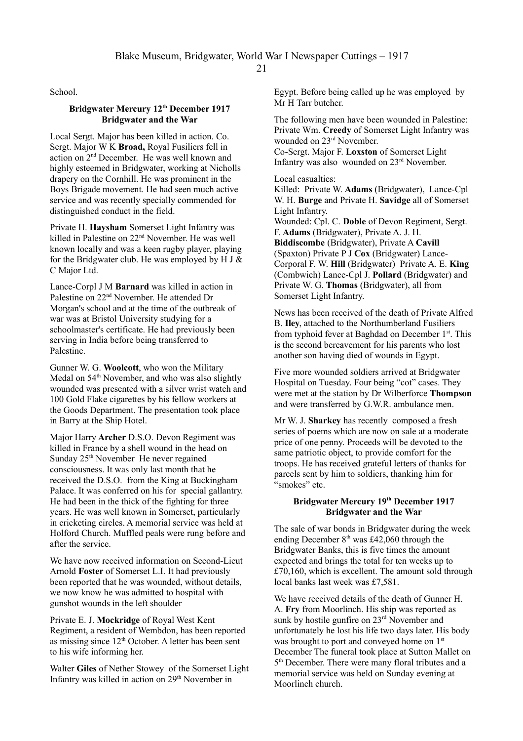School.

#### **Bridgwater Mercury 12th December 1917 Bridgwater and the War**

Local Sergt. Major has been killed in action. Co. Sergt. Major W K **Broad,** Royal Fusiliers fell in action on 2nd December. He was well known and highly esteemed in Bridgwater, working at Nicholls drapery on the Cornhill. He was prominent in the Boys Brigade movement. He had seen much active service and was recently specially commended for distinguished conduct in the field.

Private H. **Haysham** Somerset Light Infantry was killed in Palestine on 22<sup>nd</sup> November. He was well known locally and was a keen rugby player, playing for the Bridgwater club. He was employed by H J  $\&$ C Major Ltd.

Lance-Corpl J M **Barnard** was killed in action in Palestine on 22nd November. He attended Dr Morgan's school and at the time of the outbreak of war was at Bristol University studying for a schoolmaster's certificate. He had previously been serving in India before being transferred to Palestine.

Gunner W. G. **Woolcott**, who won the Military Medal on  $54<sup>th</sup>$  November, and who was also slightly wounded was presented with a silver wrist watch and 100 Gold Flake cigarettes by his fellow workers at the Goods Department. The presentation took place in Barry at the Ship Hotel.

Major Harry **Archer** D.S.O. Devon Regiment was killed in France by a shell wound in the head on Sunday 25<sup>th</sup> November He never regained consciousness. It was only last month that he received the D.S.O. from the King at Buckingham Palace. It was conferred on his for special gallantry. He had been in the thick of the fighting for three years. He was well known in Somerset, particularly in cricketing circles. A memorial service was held at Holford Church. Muffled peals were rung before and after the service.

We have now received information on Second-Lieut Arnold **Foster** of Somerset L.I. It had previously been reported that he was wounded, without details, we now know he was admitted to hospital with gunshot wounds in the left shoulder

Private E. J. **Mockridge** of Royal West Kent Regiment, a resident of Wembdon, has been reported as missing since  $12<sup>th</sup>$  October. A letter has been sent to his wife informing her.

Walter **Giles** of Nether Stowey of the Somerset Light Infantry was killed in action on  $29<sup>th</sup>$  November in

Egypt. Before being called up he was employed by Mr H Tarr butcher.

The following men have been wounded in Palestine: Private Wm. **Creedy** of Somerset Light Infantry was wounded on 23<sup>rd</sup> November.

Co-Sergt. Major F. **Loxston** of Somerset Light Infantry was also wounded on 23rd November.

Local casualties:

Killed: Private W. **Adams** (Bridgwater), Lance-Cpl W. H. **Burge** and Private H. **Savidge** all of Somerset Light Infantry.

Wounded: Cpl. C. **Doble** of Devon Regiment, Sergt. F. **Adams** (Bridgwater), Private A. J. H. **Biddiscombe** (Bridgwater), Private A **Cavill**  (Spaxton) Private P J **Cox** (Bridgwater) Lance-Corporal F. W. **Hill** (Bridgwater) Private A. E. **King** (Combwich) Lance-Cpl J. **Pollard** (Bridgwater) and Private W. G. **Thomas** (Bridgwater), all from Somerset Light Infantry.

News has been received of the death of Private Alfred B. **Iley**, attached to the Northumberland Fusiliers from typhoid fever at Baghdad on December 1<sup>st</sup>. This is the second bereavement for his parents who lost another son having died of wounds in Egypt.

Five more wounded soldiers arrived at Bridgwater Hospital on Tuesday. Four being "cot" cases. They were met at the station by Dr Wilberforce **Thompson** and were transferred by G.W.R. ambulance men.

Mr W. J. **Sharkey** has recently composed a fresh series of poems which are now on sale at a moderate price of one penny. Proceeds will be devoted to the same patriotic object, to provide comfort for the troops. He has received grateful letters of thanks for parcels sent by him to soldiers, thanking him for "smokes" etc.

## **Bridgwater Mercury 19th December 1917 Bridgwater and the War**

The sale of war bonds in Bridgwater during the week ending December  $8<sup>th</sup>$  was £42,060 through the Bridgwater Banks, this is five times the amount expected and brings the total for ten weeks up to £70,160, which is excellent. The amount sold through local banks last week was £7,581.

We have received details of the death of Gunner H. A. **Fry** from Moorlinch. His ship was reported as sunk by hostile gunfire on 23<sup>rd</sup> November and unfortunately he lost his life two days later. His body was brought to port and conveyed home on 1<sup>st</sup> December The funeral took place at Sutton Mallet on 5 th December. There were many floral tributes and a memorial service was held on Sunday evening at Moorlinch church.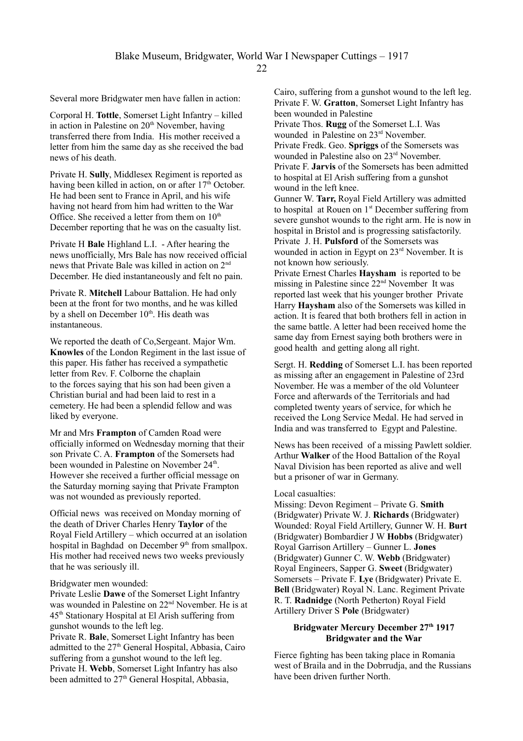Several more Bridgwater men have fallen in action:

Corporal H. **Tottle**, Somerset Light Infantry – killed in action in Palestine on  $20<sup>th</sup>$  November, having transferred there from India. His mother received a letter from him the same day as she received the bad news of his death.

Private H. **Sully**, Middlesex Regiment is reported as having been killed in action, on or after  $17<sup>th</sup>$  October. He had been sent to France in April, and his wife having not heard from him had written to the War Office. She received a letter from them on  $10^{th}$ December reporting that he was on the casualty list.

Private H **Bale** Highland L.I. - After hearing the news unofficially, Mrs Bale has now received official news that Private Bale was killed in action on 2nd December. He died instantaneously and felt no pain.

Private R. **Mitchell** Labour Battalion. He had only been at the front for two months, and he was killed by a shell on December  $10<sup>th</sup>$ . His death was instantaneous.

We reported the death of Co,Sergeant. Major Wm. **Knowles** of the London Regiment in the last issue of this paper. His father has received a sympathetic letter from Rev. F. Colborne the chaplain to the forces saying that his son had been given a Christian burial and had been laid to rest in a cemetery. He had been a splendid fellow and was liked by everyone.

Mr and Mrs **Frampton** of Camden Road were officially informed on Wednesday morning that their son Private C. A. **Frampton** of the Somersets had been wounded in Palestine on November 24<sup>th</sup>. However she received a further official message on the Saturday morning saying that Private Frampton was not wounded as previously reported.

Official news was received on Monday morning of the death of Driver Charles Henry **Taylor** of the Royal Field Artillery – which occurred at an isolation hospital in Baghdad on December 9<sup>th</sup> from smallpox. His mother had received news two weeks previously that he was seriously ill.

#### Bridgwater men wounded:

Private Leslie **Dawe** of the Somerset Light Infantry was wounded in Palestine on 22nd November. He is at 45th Stationary Hospital at El Arish suffering from gunshot wounds to the left leg.

Private R. **Bale**, Somerset Light Infantry has been admitted to the  $27<sup>th</sup>$  General Hospital, Abbasia, Cairo suffering from a gunshot wound to the left leg. Private H. **Webb**, Somerset Light Infantry has also been admitted to 27<sup>th</sup> General Hospital, Abbasia,

Cairo, suffering from a gunshot wound to the left leg. Private F. W. **Gratton**, Somerset Light Infantry has been wounded in Palestine Private Thos. **Rugg** of the Somerset L.I. Was wounded in Palestine on 23<sup>rd</sup> November. Private Fredk. Geo. **Spriggs** of the Somersets was wounded in Palestine also on 23rd November. Private F. **Jarvis** of the Somersets has been admitted to hospital at El Arish suffering from a gunshot wound in the left knee.

Gunner W. **Tarr,** Royal Field Artillery was admitted to hospital at Rouen on  $1<sup>st</sup>$  December suffering from severe gunshot wounds to the right arm. He is now in hospital in Bristol and is progressing satisfactorily. Private J. H. **Pulsford** of the Somersets was wounded in action in Egypt on 23<sup>rd</sup> November. It is not known how seriously.

Private Ernest Charles **Haysham** is reported to be missing in Palestine since 22nd November It was reported last week that his younger brother Private Harry **Haysham** also of the Somersets was killed in action. It is feared that both brothers fell in action in the same battle. A letter had been received home the same day from Ernest saying both brothers were in good health and getting along all right.

Sergt. H. **Redding** of Somerset L.I. has been reported as missing after an engagement in Palestine of 23rd November. He was a member of the old Volunteer Force and afterwards of the Territorials and had completed twenty years of service, for which he received the Long Service Medal. He had served in India and was transferred to Egypt and Palestine.

News has been received of a missing Pawlett soldier. Arthur **Walker** of the Hood Battalion of the Royal Naval Division has been reported as alive and well but a prisoner of war in Germany.

#### Local casualties:

Missing: Devon Regiment – Private G. **Smith**  (Bridgwater) Private W. J. **Richards** (Bridgwater) Wounded: Royal Field Artillery, Gunner W. H. **Burt** (Bridgwater) Bombardier J W **Hobbs** (Bridgwater) Royal Garrison Artillery – Gunner L. **Jones** (Bridgwater) Gunner C. W. **Webb** (Bridgwater) Royal Engineers, Sapper G. **Sweet** (Bridgwater) Somersets – Private F. **Lye** (Bridgwater) Private E. **Bell** (Bridgwater) Royal N. Lanc. Regiment Private R. T. **Radnidge** (North Petherton) Royal Field Artillery Driver S **Pole** (Bridgwater)

### **Bridgwater Mercury December 27th 1917 Bridgwater and the War**

Fierce fighting has been taking place in Romania west of Braila and in the Dobrrudja, and the Russians have been driven further North.